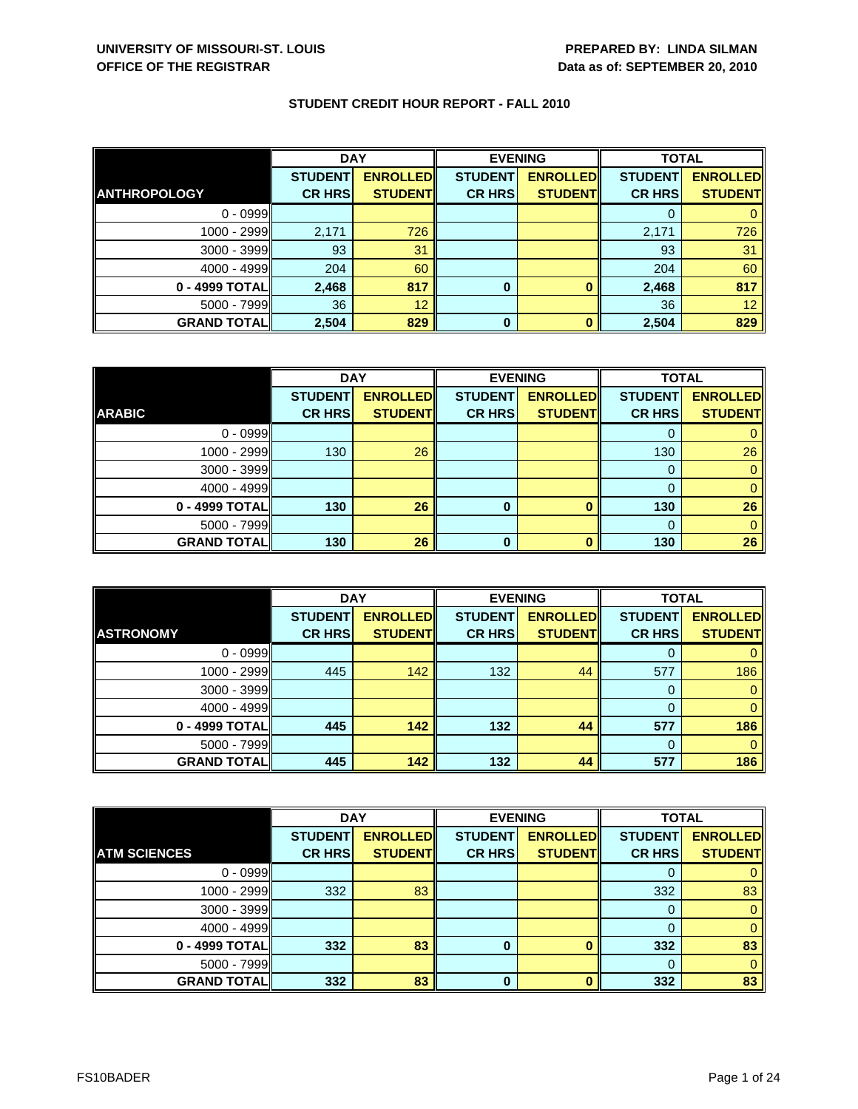|                     | <b>DAY</b>     |                 | <b>EVENING</b> |                 | <b>TOTAL</b>   |                 |
|---------------------|----------------|-----------------|----------------|-----------------|----------------|-----------------|
| <b>ANTHROPOLOGY</b> | <b>STUDENT</b> | <b>ENROLLED</b> | <b>STUDENT</b> | <b>ENROLLED</b> | <b>STUDENT</b> | <b>ENROLLED</b> |
|                     | <b>CR HRS</b>  | <b>STUDENT</b>  | <b>CR HRS</b>  | <b>STUDENT</b>  | <b>CR HRS</b>  | <b>STUDENT</b>  |
| $0 - 0999$          |                |                 |                |                 |                |                 |
| $1000 - 2999$       | 2,171          | 726             |                |                 | 2,171          | 726             |
| $3000 - 3999$       | 93             | 31              |                |                 | 93             | 31              |
| $4000 - 4999$       | 204            | 60              |                |                 | 204            | 60              |
| 0 - 4999 TOTAL      | 2,468          | 817             | 0              |                 | 2,468          | 817             |
| $5000 - 7999$       | 36             | 12              |                |                 | 36             | 12              |
| <b>GRAND TOTAL</b>  | 2,504          | 829             | 0              |                 | 2,504          | 829             |

|                    | <b>DAY</b>     |                 | <b>EVENING</b> |                 | <b>TOTAL</b>   |                 |
|--------------------|----------------|-----------------|----------------|-----------------|----------------|-----------------|
|                    | <b>STUDENT</b> | <b>ENROLLED</b> | <b>STUDENT</b> | <b>ENROLLED</b> | <b>STUDENT</b> | <b>ENROLLED</b> |
| <b>ARABIC</b>      | <b>CR HRS</b>  | <b>STUDENT</b>  | <b>CR HRS</b>  | <b>STUDENT</b>  | <b>CR HRS</b>  | <b>STUDENT</b>  |
| $0 - 0999$         |                |                 |                |                 |                |                 |
| $1000 - 2999$      | 130            | 26              |                |                 | 130            | 26              |
| $3000 - 3999$      |                |                 |                |                 |                |                 |
| $4000 - 4999$      |                |                 |                |                 |                |                 |
| $0 - 4999$ TOTAL   | 130            | 26              | 0              |                 | 130            | 26              |
| $5000 - 7999$      |                |                 |                |                 |                |                 |
| <b>GRAND TOTAL</b> | 130            | 26              | 0              |                 | 130            | 26              |

|                    | <b>DAY</b>     |                 | <b>EVENING</b> |                 | <b>TOTAL</b>   |                 |
|--------------------|----------------|-----------------|----------------|-----------------|----------------|-----------------|
|                    | <b>STUDENT</b> | <b>ENROLLED</b> | <b>STUDENT</b> | <b>ENROLLED</b> | <b>STUDENT</b> | <b>ENROLLED</b> |
| <b>ASTRONOMY</b>   | <b>CR HRS</b>  | <b>STUDENT</b>  | <b>CR HRS</b>  | <b>STUDENT</b>  | <b>CR HRS</b>  | <b>STUDENT</b>  |
| $0 - 0999$         |                |                 |                |                 |                |                 |
| 1000 - 2999        | 445            | 142             | 132            | 44              | 577            | 186             |
| 3000 - 3999        |                |                 |                |                 |                |                 |
| $4000 - 4999$      |                |                 |                |                 |                |                 |
| 0 - 4999 TOTAL     | 445            | 142             | 132            | 44              | 577            | 186             |
| $5000 - 7999$      |                |                 |                |                 |                |                 |
| <b>GRAND TOTAL</b> | 445            | 142             | 132            | 44              | 577            | 186             |

|                     | <b>DAY</b>     |                 | <b>EVENING</b> |                 | <b>TOTAL</b>   |                 |
|---------------------|----------------|-----------------|----------------|-----------------|----------------|-----------------|
|                     | <b>STUDENT</b> | <b>ENROLLED</b> | <b>STUDENT</b> | <b>ENROLLED</b> | <b>STUDENT</b> | <b>ENROLLED</b> |
| <b>ATM SCIENCES</b> | <b>CR HRS</b>  | <b>STUDENTI</b> | <b>CR HRS</b>  | <b>STUDENT</b>  | <b>CR HRS</b>  | <b>STUDENT</b>  |
| $0 - 0999$          |                |                 |                |                 |                |                 |
| 1000 - 2999         | 332            | 83              |                |                 | 332            | 83              |
| 3000 - 3999         |                |                 |                |                 | 0              |                 |
| 4000 - 4999         |                |                 |                |                 |                |                 |
| 0 - 4999 TOTAL      | 332            | 83              | 0              |                 | 332            | 83              |
| 5000 - 7999         |                |                 |                |                 |                | 0               |
| <b>GRAND TOTAL</b>  | 332            | 83              | 0              |                 | 332            | 83              |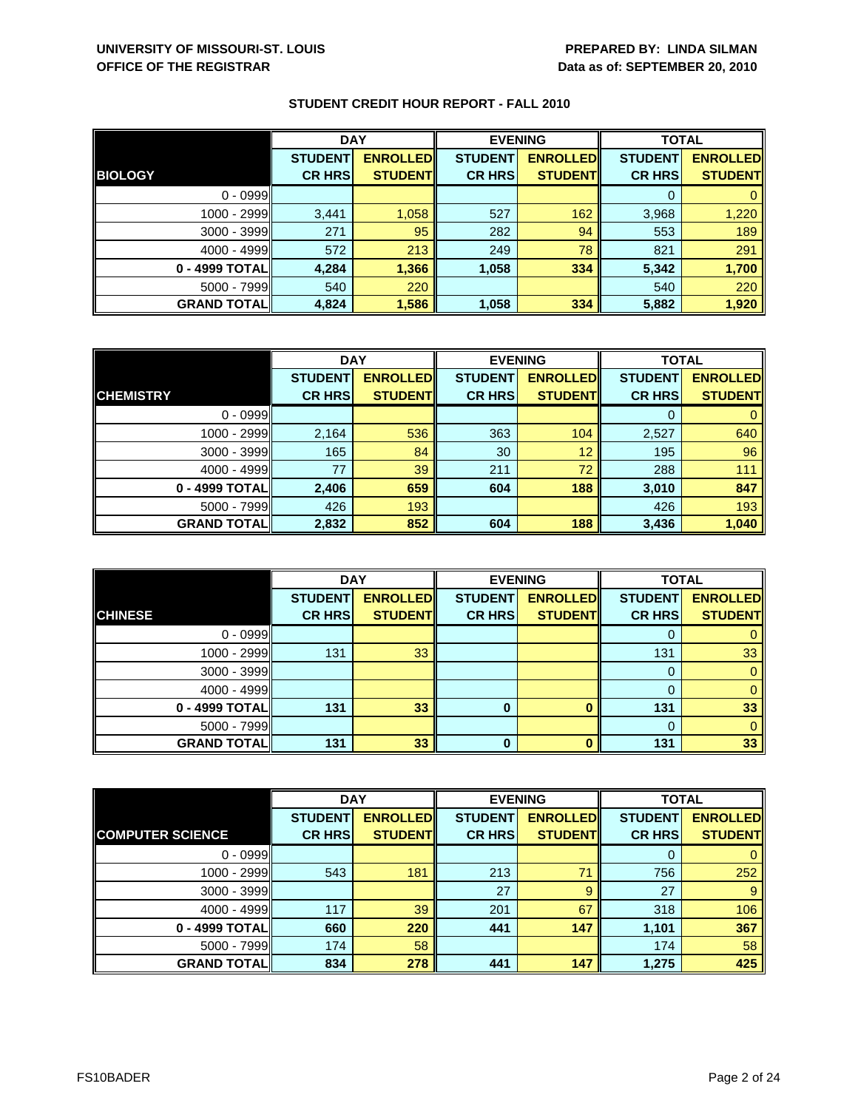|                    | <b>DAY</b>     |                 | <b>EVENING</b> |                 | <b>TOTAL</b>   |                 |
|--------------------|----------------|-----------------|----------------|-----------------|----------------|-----------------|
|                    | <b>STUDENT</b> | <b>ENROLLED</b> | <b>STUDENT</b> | <b>ENROLLED</b> | <b>STUDENT</b> | <b>ENROLLED</b> |
| <b>BIOLOGY</b>     | <b>CR HRS</b>  | <b>STUDENT</b>  | <b>CR HRS</b>  | <b>STUDENT</b>  | <b>CR HRS</b>  | <b>STUDENT</b>  |
| $0 - 0999$         |                |                 |                |                 |                |                 |
| 1000 - 2999        | 3,441          | 1,058           | 527            | 162             | 3,968          | 1,220           |
| $3000 - 3999$      | 271            | 95              | 282            | 94              | 553            | 189             |
| $4000 - 4999$      | 572            | 213             | 249            | 78              | 821            | 291             |
| 0 - 4999 TOTAL     | 4,284          | 1,366           | 1,058          | 334             | 5,342          | 1,700           |
| $5000 - 7999$      | 540            | 220             |                |                 | 540            | 220             |
| <b>GRAND TOTAL</b> | 4,824          | 1,586           | 1,058          | 334             | 5,882          | 1,920           |

|                    | <b>DAY</b>     |                 |                | <b>EVENING</b>  | <b>TOTAL</b>   |                 |
|--------------------|----------------|-----------------|----------------|-----------------|----------------|-----------------|
|                    | <b>STUDENT</b> | <b>ENROLLED</b> | <b>STUDENT</b> | <b>ENROLLED</b> | <b>STUDENT</b> | <b>ENROLLED</b> |
| <b>CHEMISTRY</b>   | <b>CR HRS</b>  | <b>STUDENT</b>  | <b>CR HRS</b>  | <b>STUDENT</b>  | <b>CR HRS</b>  | <b>STUDENT</b>  |
| $0 - 0999$         |                |                 |                |                 |                |                 |
| 1000 - 2999        | 2,164          | 536             | 363            | 104             | 2,527          | 640             |
| $3000 - 3999$      | 165            | 84              | 30             | 12              | 195            | 96              |
| $4000 - 4999$      | 77             | 39              | 211            | 72              | 288            | 111             |
| 0 - 4999 TOTAL     | 2,406          | 659             | 604            | 188             | 3,010          | 847             |
| $5000 - 7999$      | 426            | 193             |                |                 | 426            | 193             |
| <b>GRAND TOTAL</b> | 2,832          | 852             | 604            | 188             | 3,436          | 1,040           |

|                     | <b>DAY</b>     |                 | <b>EVENING</b> |                 | <b>TOTAL</b>   |                 |
|---------------------|----------------|-----------------|----------------|-----------------|----------------|-----------------|
|                     | <b>STUDENT</b> | <b>ENROLLED</b> | <b>STUDENT</b> | <b>ENROLLED</b> | <b>STUDENT</b> | <b>ENROLLED</b> |
| <b>CHINESE</b>      | <b>CR HRS</b>  | <b>STUDENT</b>  | <b>CR HRS</b>  | <b>STUDENT</b>  | <b>CR HRS</b>  | <b>STUDENT</b>  |
| $0 - 0999$          |                |                 |                |                 |                |                 |
| 1000 - 2999         | 131            | 33              |                |                 | 131            | 33              |
| $3000 - 3999$       |                |                 |                |                 |                |                 |
| $4000 - 4999$       |                |                 |                |                 |                |                 |
| 0 - 4999 TOTAL      | 131            | 33              | 0              |                 | 131            | 33              |
| $5000 - 7999$       |                |                 |                |                 | $\Omega$       | 0               |
| <b>GRAND TOTALI</b> | 131            | 33              | 0              |                 | 131            | 33              |

|                         | <b>DAY</b>     |                 | <b>EVENING</b> |                 | <b>TOTAL</b>   |                 |
|-------------------------|----------------|-----------------|----------------|-----------------|----------------|-----------------|
|                         | <b>STUDENT</b> | <b>ENROLLED</b> | <b>STUDENT</b> | <b>ENROLLED</b> | <b>STUDENT</b> | <b>ENROLLED</b> |
| <b>COMPUTER SCIENCE</b> | <b>CR HRS</b>  | <b>STUDENT</b>  | <b>CR HRS</b>  | <b>STUDENT</b>  | <b>CR HRS</b>  | <b>STUDENT</b>  |
| $0 - 0999$              |                |                 |                |                 | O              | 0               |
| 1000 - 2999             | 543            | 181             | 213            | 71              | 756            | 252             |
| $3000 - 3999$           |                |                 | 27             | 9               | 27             | 9               |
| $4000 - 4999$           | 117            | 39              | 201            | 67              | 318            | 106             |
| 0 - 4999 TOTAL          | 660            | 220             | 441            | 147             | 1,101          | 367             |
| $5000 - 7999$           | 174            | 58              |                |                 | 174            | 58              |
| <b>GRAND TOTAL</b>      | 834            | 278             | 441            | 147             | 1,275          | 425             |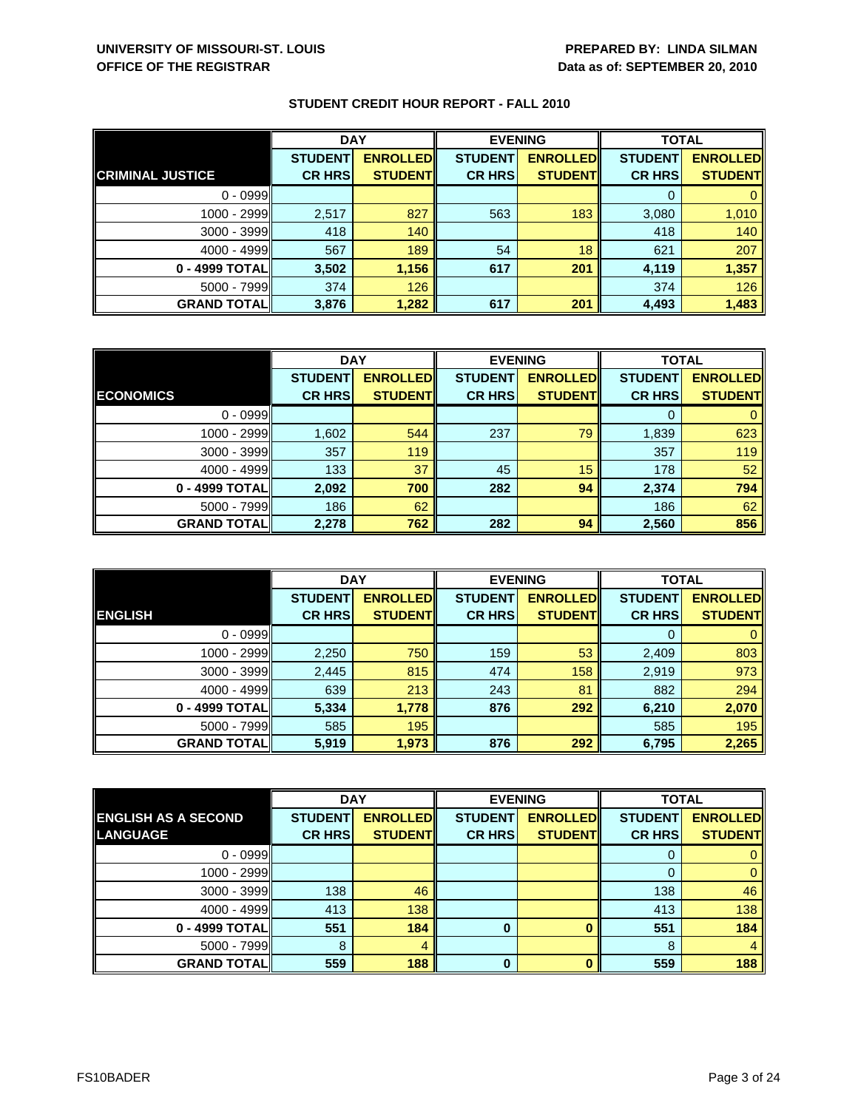|                         | <b>DAY</b>     |                 |                | <b>EVENING</b>  | <b>TOTAL</b>   |                 |
|-------------------------|----------------|-----------------|----------------|-----------------|----------------|-----------------|
|                         | <b>STUDENT</b> | <b>ENROLLED</b> | <b>STUDENT</b> | <b>ENROLLED</b> | <b>STUDENT</b> | <b>ENROLLED</b> |
| <b>CRIMINAL JUSTICE</b> | <b>CR HRS</b>  | <b>STUDENT</b>  | <b>CR HRS</b>  | <b>STUDENT</b>  | <b>CR HRS</b>  | <b>STUDENT</b>  |
| $0 - 0999$              |                |                 |                |                 |                |                 |
| 1000 - 2999             | 2,517          | 827             | 563            | 183             | 3,080          | 1,010           |
| 3000 - 3999             | 418            | 140             |                |                 | 418            | 140             |
| $4000 - 4999$           | 567            | 189             | 54             | 18              | 621            | 207             |
| 0 - 4999 TOTAL          | 3,502          | 1,156           | 617            | 201             | 4,119          | 1,357           |
| 5000 - 7999             | 374            | 126             |                |                 | 374            | 126             |
| <b>GRAND TOTAL</b>      | 3,876          | 1,282           | 617            | 201             | 4,493          | 1,483           |

|                    | <b>DAY</b>     |                 |                | <b>EVENING</b>  | <b>TOTAL</b>   |                 |
|--------------------|----------------|-----------------|----------------|-----------------|----------------|-----------------|
|                    | <b>STUDENT</b> | <b>ENROLLED</b> | <b>STUDENT</b> | <b>ENROLLED</b> | <b>STUDENT</b> | <b>ENROLLED</b> |
| <b>ECONOMICS</b>   | <b>CR HRS</b>  | <b>STUDENT</b>  | <b>CR HRS</b>  | <b>STUDENT</b>  | <b>CR HRS</b>  | <b>STUDENT</b>  |
| $0 - 0999$         |                |                 |                |                 |                |                 |
| $1000 - 2999$      | 1,602          | 544             | 237            | 79              | 1,839          | 623             |
| $3000 - 3999$      | 357            | 119             |                |                 | 357            | 119             |
| $4000 - 4999$      | 133            | 37              | 45             | 15              | 178            | 52              |
| 0 - 4999 TOTAL     | 2,092          | 700             | 282            | 94              | 2,374          | 794             |
| $5000 - 7999$      | 186            | 62              |                |                 | 186            | 62              |
| <b>GRAND TOTAL</b> | 2,278          | 762             | 282            | 94              | 2,560          | 856             |

|                    | <b>DAY</b>                      |                                    |                                 | <b>EVENING</b>                    | <b>TOTAL</b>                    |                                   |
|--------------------|---------------------------------|------------------------------------|---------------------------------|-----------------------------------|---------------------------------|-----------------------------------|
| <b>ENGLISH</b>     | <b>STUDENT</b><br><b>CR HRS</b> | <b>ENROLLED</b><br><b>STUDENTI</b> | <b>STUDENT</b><br><b>CR HRS</b> | <b>ENROLLED</b><br><b>STUDENT</b> | <b>STUDENT</b><br><b>CR HRS</b> | <b>ENROLLED</b><br><b>STUDENT</b> |
|                    |                                 |                                    |                                 |                                   |                                 |                                   |
| $0 - 0999$         |                                 |                                    |                                 |                                   | 0                               | $\mathbf{0}$                      |
| $1000 - 2999$      | 2,250                           | 750                                | 159                             | 53                                | 2,409                           | 803                               |
| 3000 - 3999        | 2,445                           | 815                                | 474                             | 158                               | 2,919                           | 973                               |
| $4000 - 4999$      | 639                             | 213                                | 243                             | 81                                | 882                             | 294                               |
| 0 - 4999 TOTAL     | 5,334                           | 1,778                              | 876                             | 292                               | 6,210                           | 2,070                             |
| $5000 - 7999$      | 585                             | 195                                |                                 |                                   | 585                             | 195                               |
| <b>GRAND TOTAL</b> | 5,919                           | 1,973                              | 876                             | 292                               | 6,795                           | 2,265                             |

|                            | <b>DAY</b>     |                 |                | <b>EVENING</b>  | <b>TOTAL</b>   |                 |
|----------------------------|----------------|-----------------|----------------|-----------------|----------------|-----------------|
| <b>ENGLISH AS A SECOND</b> | <b>STUDENT</b> | <b>ENROLLED</b> | <b>STUDENT</b> | <b>ENROLLED</b> | <b>STUDENT</b> | <b>ENROLLED</b> |
| <b>LANGUAGE</b>            | <b>CR HRS</b>  | <b>STUDENT</b>  | <b>CR HRS</b>  | <b>STUDENT</b>  | <b>CR HRS</b>  | <b>STUDENT</b>  |
| $0 - 0999$                 |                |                 |                |                 | O              | 0               |
| 1000 - 2999                |                |                 |                |                 | 0              | $\mathbf{0}$    |
| $3000 - 3999$              | 138            | 46              |                |                 | 138            | 46              |
| $4000 - 4999$              | 413            | 138             |                |                 | 413            | 138             |
| 0 - 4999 TOTAL             | 551            | 184             | 0              |                 | 551            | 184             |
| $5000 - 7999$              | 8              | 4               |                |                 | 8              | $\overline{4}$  |
| <b>GRAND TOTAL</b>         | 559            | 188             | $\bf{0}$       |                 | 559            | 188             |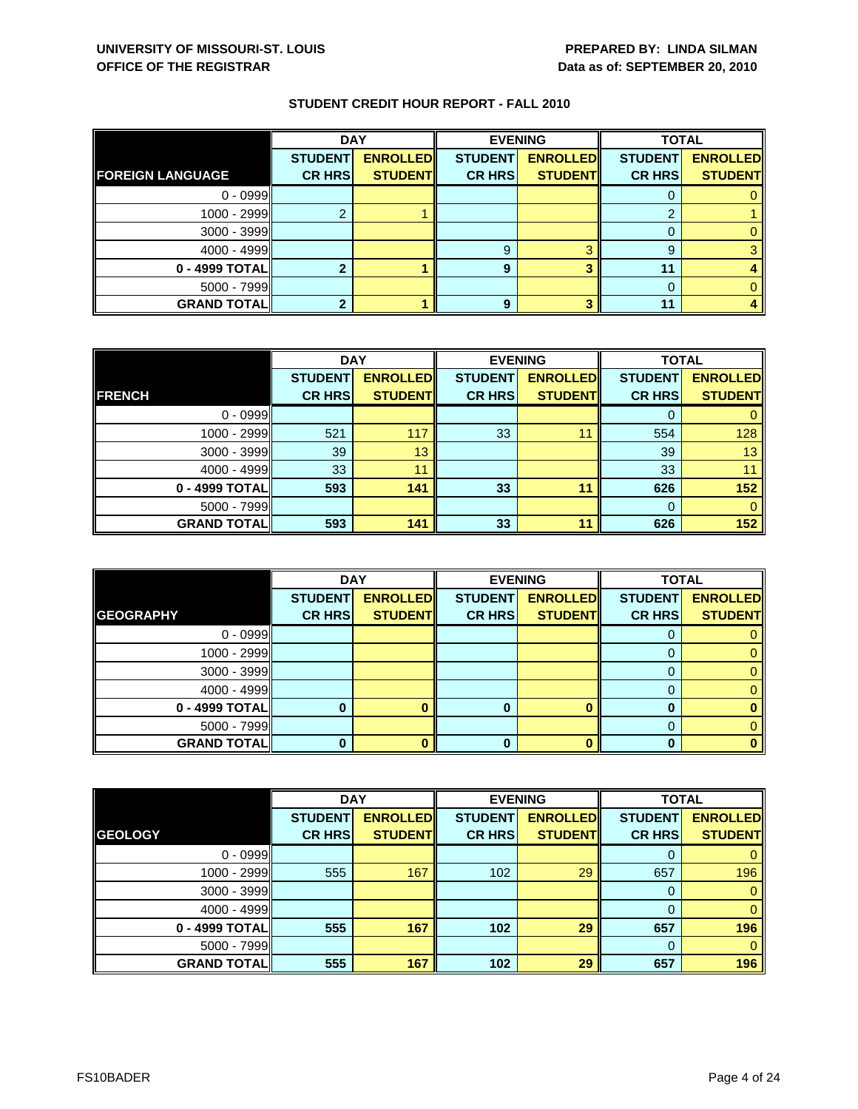|                         | <b>DAY</b>     |                 | <b>EVENING</b> |                 | <b>TOTAL</b>   |                 |
|-------------------------|----------------|-----------------|----------------|-----------------|----------------|-----------------|
|                         | <b>STUDENT</b> | <b>ENROLLED</b> | <b>STUDENT</b> | <b>ENROLLED</b> | <b>STUDENT</b> | <b>ENROLLED</b> |
| <b>FOREIGN LANGUAGE</b> | <b>CR HRS</b>  | <b>STUDENT</b>  | <b>CR HRS</b>  | <b>STUDENT</b>  | <b>CR HRS</b>  | <b>STUDENT</b>  |
| $0 - 0999$              |                |                 |                |                 |                |                 |
| 1000 - 2999             |                |                 |                |                 | ◠              |                 |
| $3000 - 3999$           |                |                 |                |                 |                |                 |
| $4000 - 4999$           |                |                 | 9              | റ               | 9              |                 |
| 0 - 4999 TOTAL          |                |                 | 9              |                 | 11             |                 |
| $5000 - 7999$           |                |                 |                |                 |                |                 |
| <b>GRAND TOTAL</b>      |                |                 | 9              |                 | 11             |                 |

|                    | <b>DAY</b>     |                 | <b>EVENING</b> |                 | <b>TOTAL</b>   |                 |
|--------------------|----------------|-----------------|----------------|-----------------|----------------|-----------------|
|                    | <b>STUDENT</b> | <b>ENROLLED</b> | <b>STUDENT</b> | <b>ENROLLED</b> | <b>STUDENT</b> | <b>ENROLLED</b> |
| <b>FRENCH</b>      | <b>CR HRS</b>  | <b>STUDENT</b>  | <b>CR HRS</b>  | <b>STUDENT</b>  | <b>CR HRS</b>  | <b>STUDENT</b>  |
| $0 - 0999$         |                |                 |                |                 |                |                 |
| 1000 - 2999        | 521            | 117             | 33             | 11              | 554            | 128             |
| $3000 - 3999$      | 39             | 13              |                |                 | 39             | 13 <sup>2</sup> |
| $4000 - 4999$      | 33             | 11              |                |                 | 33             | 11              |
| 0 - 4999 TOTAL     | 593            | 141             | 33             | 11              | 626            | 152             |
| $5000 - 7999$      |                |                 |                |                 | 0              |                 |
| <b>GRAND TOTAL</b> | 593            | 141             | 33             | 11              | 626            | 152             |

|                     | <b>DAY</b>                      |                                   | <b>EVENING</b>                  |                                   | <b>TOTAL</b>                    |                                   |
|---------------------|---------------------------------|-----------------------------------|---------------------------------|-----------------------------------|---------------------------------|-----------------------------------|
| <b>GEOGRAPHY</b>    | <b>STUDENT</b><br><b>CR HRS</b> | <b>ENROLLED</b><br><b>STUDENT</b> | <b>STUDENT</b><br><b>CR HRS</b> | <b>ENROLLED</b><br><b>STUDENT</b> | <b>STUDENT</b><br><b>CR HRS</b> | <b>ENROLLED</b><br><b>STUDENT</b> |
|                     |                                 |                                   |                                 |                                   |                                 |                                   |
| $0 - 0999$          |                                 |                                   |                                 |                                   | Ü                               |                                   |
| $1000 - 2999$       |                                 |                                   |                                 |                                   |                                 |                                   |
| $3000 - 3999$       |                                 |                                   |                                 |                                   |                                 |                                   |
| $4000 - 4999$       |                                 |                                   |                                 |                                   |                                 |                                   |
| 0 - 4999 TOTAL      |                                 |                                   | 0                               |                                   |                                 |                                   |
| $5000 - 7999$       |                                 |                                   |                                 |                                   |                                 |                                   |
| <b>GRAND TOTALI</b> |                                 |                                   | 0                               |                                   |                                 |                                   |

|                    | <b>DAY</b>     |                 | <b>EVENING</b> |                 | <b>TOTAL</b>   |                 |
|--------------------|----------------|-----------------|----------------|-----------------|----------------|-----------------|
|                    | <b>STUDENT</b> | <b>ENROLLED</b> | <b>STUDENT</b> | <b>ENROLLED</b> | <b>STUDENT</b> | <b>ENROLLED</b> |
| <b>GEOLOGY</b>     | <b>CR HRS</b>  | <b>STUDENT</b>  | <b>CR HRS</b>  | <b>STUDENT</b>  | <b>CR HRS</b>  | <b>STUDENT</b>  |
| $0 - 0999$         |                |                 |                |                 | 0              | $\mathbf{0}$    |
| 1000 - 2999        | 555            | 167             | 102            | 29              | 657            | 196             |
| 3000 - 3999        |                |                 |                |                 | $\Omega$       | $\mathbf{0}$    |
| $4000 - 4999$      |                |                 |                |                 | $\mathbf 0$    | $\mathbf{0}$    |
| 0 - 4999 TOTAL     | 555            | 167             | 102            | 29              | 657            | 196             |
| $5000 - 7999$      |                |                 |                |                 | $\Omega$       | $\mathbf{0}$    |
| <b>GRAND TOTAL</b> | 555            | 167             | 102            | 29              | 657            | 196             |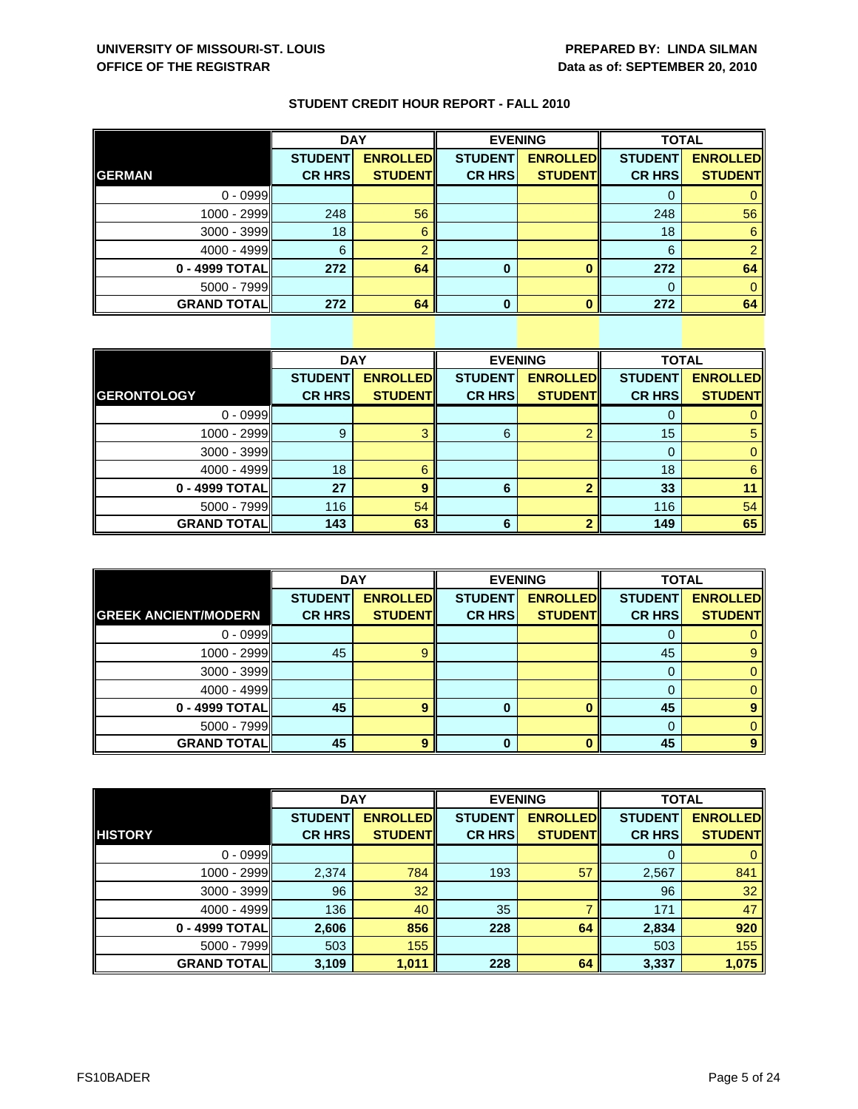|                    | <b>DAY</b>     |                 | <b>EVENING</b> |                 | <b>TOTAL</b>   |                 |
|--------------------|----------------|-----------------|----------------|-----------------|----------------|-----------------|
|                    | <b>STUDENT</b> | <b>ENROLLED</b> | <b>STUDENT</b> | <b>ENROLLED</b> | <b>STUDENT</b> | <b>ENROLLED</b> |
| <b>GERMAN</b>      | <b>CR HRS</b>  | <b>STUDENT</b>  | <b>CR HRS</b>  | <b>STUDENT</b>  | <b>CR HRS</b>  | <b>STUDENT</b>  |
| $0 - 0999$         |                |                 |                |                 |                |                 |
| 1000 - 2999        | 248            | 56              |                |                 | 248            | 56              |
| 3000 - 3999        | 18             | 6               |                |                 | 18             | 6               |
| $4000 - 4999$      | 6              |                 |                |                 | 6              |                 |
| 0 - 4999 TOTAL     | 272            | 64              | 0              |                 | 272            | 64              |
| $5000 - 7999$      |                |                 |                |                 |                |                 |
| <b>GRAND TOTAL</b> | 272            | 64              | 0              |                 | 272            | 64              |

|                     | <b>DAY</b>     |                 |                | <b>EVENING</b>  | <b>TOTAL</b>   |                 |
|---------------------|----------------|-----------------|----------------|-----------------|----------------|-----------------|
|                     | <b>STUDENT</b> | <b>ENROLLED</b> | <b>STUDENT</b> | <b>ENROLLED</b> | <b>STUDENT</b> | <b>ENROLLED</b> |
| <b>GERONTOLOGY</b>  | <b>CR HRS</b>  | <b>STUDENT</b>  | <b>CR HRS</b>  | <b>STUDENT</b>  | <b>CR HRS</b>  | <b>STUDENT</b>  |
| $0 - 0999$          |                |                 |                |                 | 0              | 0               |
| $1000 - 2999$       | 9              | 3               | 6              |                 | 15             | 5               |
| $3000 - 3999$       |                |                 |                |                 |                | $\mathbf{0}$    |
| $4000 - 4999$       | 18             | 6               |                |                 | 18             | 6               |
| 0 - 4999 TOTAL      | 27             | 9               | 6              |                 | 33             | 11              |
| $5000 - 7999$       | 116            | 54              |                |                 | 116            | 54              |
| <b>GRAND TOTALI</b> | 143            | 63              | 6              |                 | 149            | 65              |

|                             | <b>DAY</b>     |                 |                | <b>EVENING</b>  | <b>TOTAL</b>   |                 |
|-----------------------------|----------------|-----------------|----------------|-----------------|----------------|-----------------|
|                             | <b>STUDENT</b> | <b>ENROLLED</b> | <b>STUDENT</b> | <b>ENROLLED</b> | <b>STUDENT</b> | <b>ENROLLED</b> |
| <b>GREEK ANCIENT/MODERN</b> | <b>CR HRS</b>  | <b>STUDENT</b>  | <b>CR HRS</b>  | <b>STUDENT</b>  | <b>CR HRS</b>  | <b>STUDENT</b>  |
| $0 - 0999$                  |                |                 |                |                 | O              | 0               |
| 1000 - 2999                 | 45             | g               |                |                 | 45             | 9               |
| $3000 - 3999$               |                |                 |                |                 | 0              | 0               |
| $4000 - 4999$               |                |                 |                |                 | 0              | 0               |
| 0 - 4999 TOTAL              | 45             | 9               | 0              |                 | 45             |                 |
| $5000 - 7999$               |                |                 |                |                 | $\Omega$       | 0               |
| <b>GRAND TOTALI</b>         | 45             | 9               | $\bf{0}$       |                 | 45             | 9               |

|                    | <b>DAY</b>     |                 |                | <b>EVENING</b>  |                | <b>TOTAL</b>    |  |
|--------------------|----------------|-----------------|----------------|-----------------|----------------|-----------------|--|
|                    | <b>STUDENT</b> | <b>ENROLLED</b> | <b>STUDENT</b> | <b>ENROLLED</b> | <b>STUDENT</b> | <b>ENROLLED</b> |  |
| <b>HISTORY</b>     | <b>CR HRS</b>  | <b>STUDENT</b>  | <b>CR HRS</b>  | <b>STUDENT</b>  | <b>CR HRS</b>  | <b>STUDENT</b>  |  |
| $0 - 0999$         |                |                 |                |                 |                | $\mathbf{0}$    |  |
| 1000 - 2999        | 2,374          | 784             | 193            | 57              | 2,567          | 841             |  |
| $3000 - 3999$      | 96             | 32              |                |                 | 96             | 32              |  |
| $4000 - 4999$      | 136            | 40              | 35             |                 | 171            | 47              |  |
| 0 - 4999 TOTAL     | 2,606          | 856             | 228            | 64              | 2,834          | 920             |  |
| $5000 - 7999$      | 503            | 155             |                |                 | 503            | 155             |  |
| <b>GRAND TOTAL</b> | 3,109          | 1,011           | 228            | 64              | 3,337          | 1,075           |  |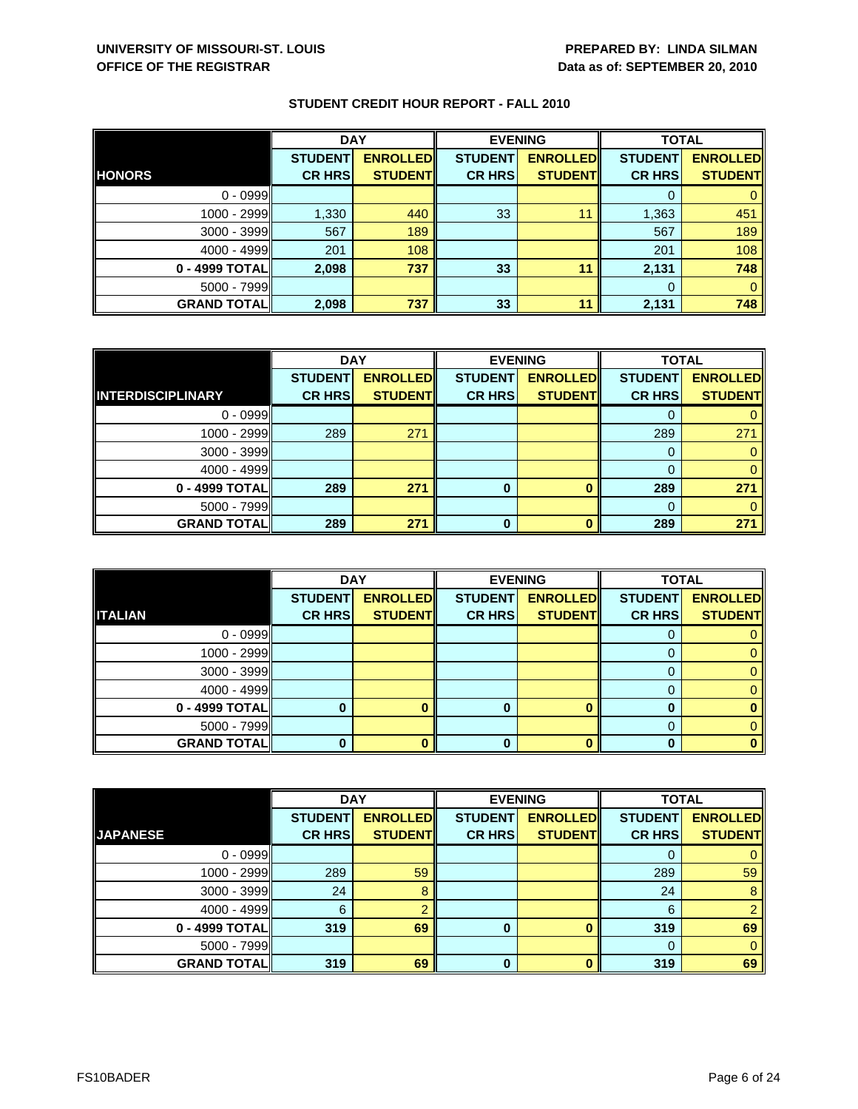|                    | <b>DAY</b>                      |                                   | <b>EVENING</b>                  |                                   | <b>TOTAL</b>                    |                                   |
|--------------------|---------------------------------|-----------------------------------|---------------------------------|-----------------------------------|---------------------------------|-----------------------------------|
| <b>HONORS</b>      | <b>STUDENT</b><br><b>CR HRS</b> | <b>ENROLLED</b><br><b>STUDENT</b> | <b>STUDENT</b><br><b>CR HRS</b> | <b>ENROLLED</b><br><b>STUDENT</b> | <b>STUDENT</b><br><b>CR HRS</b> | <b>ENROLLED</b><br><b>STUDENT</b> |
|                    |                                 |                                   |                                 |                                   |                                 |                                   |
| $0 - 0999$         |                                 |                                   |                                 |                                   |                                 |                                   |
| $1000 - 2999$      | 1,330                           | 440                               | 33                              | 11                                | 1,363                           | 451                               |
| $3000 - 3999$      | 567                             | 189                               |                                 |                                   | 567                             | 189                               |
| $4000 - 4999$      | 201                             | 108                               |                                 |                                   | 201                             | 108                               |
| 0 - 4999 TOTALI    | 2,098                           | 737                               | 33                              | 11                                | 2,131                           | 748                               |
| $5000 - 7999$      |                                 |                                   |                                 |                                   | $\Omega$                        |                                   |
| <b>GRAND TOTAL</b> | 2,098                           | 737                               | 33                              | 11                                | 2,131                           | 748                               |

|                          | <b>DAY</b>     |                 | <b>EVENING</b> |                 | <b>TOTAL</b>   |                 |
|--------------------------|----------------|-----------------|----------------|-----------------|----------------|-----------------|
|                          | <b>STUDENT</b> | <b>ENROLLED</b> | <b>STUDENT</b> | <b>ENROLLED</b> | <b>STUDENT</b> | <b>ENROLLED</b> |
| <b>INTERDISCIPLINARY</b> | <b>CR HRS</b>  | <b>STUDENT</b>  | <b>CR HRS</b>  | <b>STUDENT</b>  | <b>CR HRS</b>  | <b>STUDENT</b>  |
| $0 - 0999$               |                |                 |                |                 |                |                 |
| 1000 - 2999              | 289            | 271             |                |                 | 289            | 271             |
| $3000 - 3999$            |                |                 |                |                 |                |                 |
| 4000 - 4999              |                |                 |                |                 |                |                 |
| 0 - 4999 TOTAL           | 289            | 271             | 0              |                 | 289            | 271             |
| $5000 - 7999$            |                |                 |                |                 |                |                 |
| <b>GRAND TOTAL</b>       | 289            | 271             | ŋ              | Ω               | 289            | 271             |

|                    | <b>DAY</b>     |                 |                | <b>EVENING</b>  | <b>TOTAL</b>   |                 |
|--------------------|----------------|-----------------|----------------|-----------------|----------------|-----------------|
|                    | <b>STUDENT</b> | <b>ENROLLED</b> | <b>STUDENT</b> | <b>ENROLLED</b> | <b>STUDENT</b> | <b>ENROLLED</b> |
| <b>ITALIAN</b>     | <b>CR HRS</b>  | <b>STUDENT</b>  | <b>CR HRS</b>  | <b>STUDENT</b>  | <b>CR HRS</b>  | <b>STUDENT</b>  |
| $0 - 0999$         |                |                 |                |                 |                |                 |
| 1000 - 2999        |                |                 |                |                 |                |                 |
| $3000 - 3999$      |                |                 |                |                 |                |                 |
| $4000 - 4999$      |                |                 |                |                 |                |                 |
| 0 - 4999 TOTAL     |                |                 |                |                 |                |                 |
| $5000 - 7999$      |                |                 |                |                 |                |                 |
| <b>GRAND TOTAL</b> |                |                 | 0              |                 | 0              |                 |

|                    | <b>DAY</b>     |                 | <b>EVENING</b> |                 | <b>TOTAL</b>   |                 |
|--------------------|----------------|-----------------|----------------|-----------------|----------------|-----------------|
|                    | <b>STUDENT</b> | <b>ENROLLED</b> | <b>STUDENT</b> | <b>ENROLLED</b> | <b>STUDENT</b> | <b>ENROLLED</b> |
| <b>JAPANESE</b>    | <b>CR HRS</b>  | <b>STUDENT</b>  | <b>CR HRS</b>  | <b>STUDENT</b>  | <b>CR HRS</b>  | <b>STUDENT</b>  |
| $0 - 0999$         |                |                 |                |                 | O              | 0               |
| 1000 - 2999        | 289            | 59              |                |                 | 289            | 59              |
| $3000 - 3999$      | 24             | 8               |                |                 | 24             | 8               |
| $4000 - 4999$      | 6              | $\Omega$        |                |                 | 6              | $\mathcal{P}$   |
| $0 - 4999$ TOTAL   | 319            | 69              | $\bf{0}$       |                 | 319            | 69              |
| $5000 - 7999$      |                |                 |                |                 | $\Omega$       | $\mathbf{0}$    |
| <b>GRAND TOTAL</b> | 319            | 69              | O              |                 | 319            | 69              |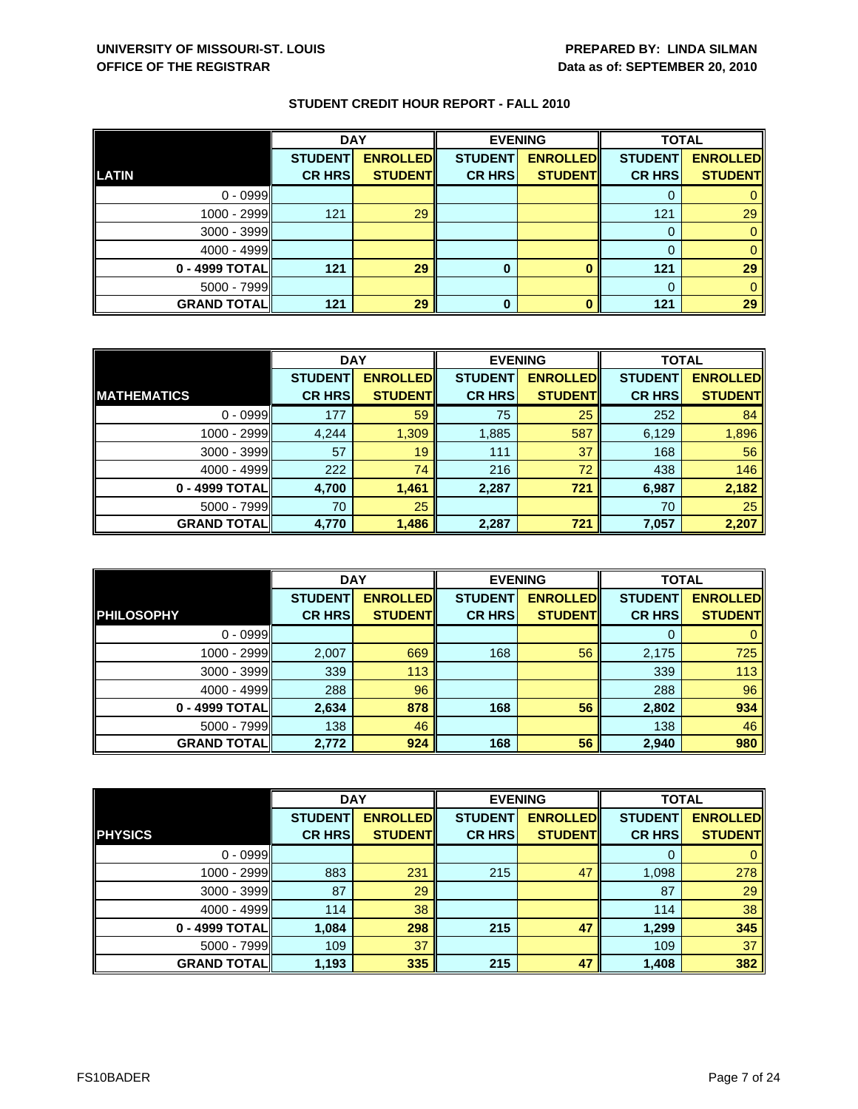|                    | <b>DAY</b>     |                 | <b>EVENING</b> |                 | <b>TOTAL</b>   |                 |
|--------------------|----------------|-----------------|----------------|-----------------|----------------|-----------------|
|                    | <b>STUDENT</b> | <b>ENROLLED</b> | <b>STUDENT</b> | <b>ENROLLED</b> | <b>STUDENT</b> | <b>ENROLLED</b> |
| LATIN              | <b>CR HRS</b>  | <b>STUDENT</b>  | <b>CR HRS</b>  | <b>STUDENT</b>  | <b>CR HRS</b>  | <b>STUDENT</b>  |
| $0 - 0999$         |                |                 |                |                 |                |                 |
| $1000 - 2999$      | 121            | 29              |                |                 | 121            | 29              |
| $3000 - 3999$      |                |                 |                |                 | 0              |                 |
| $4000 - 4999$      |                |                 |                |                 |                |                 |
| 0 - 4999 TOTAL     | 121            | 29              | 0              |                 | 121            | 29              |
| $5000 - 7999$      |                |                 |                |                 |                |                 |
| <b>GRAND TOTAL</b> | 121            | 29              | $\bf{0}$       |                 | 121            | 29              |

|                    | <b>DAY</b>     |                 |                | <b>EVENING</b>  | <b>TOTAL</b>   |                 |
|--------------------|----------------|-----------------|----------------|-----------------|----------------|-----------------|
|                    | <b>STUDENT</b> | <b>ENROLLED</b> | <b>STUDENT</b> | <b>ENROLLED</b> | <b>STUDENT</b> | <b>ENROLLED</b> |
| <b>MATHEMATICS</b> | <b>CR HRS</b>  | <b>STUDENT</b>  | <b>CR HRS</b>  | <b>STUDENT</b>  | <b>CR HRS</b>  | <b>STUDENT</b>  |
| $0 - 0999$         | 177            | 59              | 75             | 25              | 252            | 84              |
| $1000 - 2999$      | 4,244          | 1,309           | 1,885          | 587             | 6,129          | 1,896           |
| $3000 - 3999$      | 57             | 19              | 111            | 37              | 168            | 56              |
| $4000 - 4999$      | 222            | 74              | 216            | 72              | 438            | 146             |
| 0 - 4999 TOTAL     | 4,700          | 1,461           | 2,287          | 721             | 6,987          | 2,182           |
| $5000 - 7999$      | 70             | 25              |                |                 | 70             | 25              |
| <b>GRAND TOTAL</b> | 4,770          | 1,486           | 2,287          | 721             | 7,057          | 2,207           |

|                    | <b>DAY</b>     |                 | <b>EVENING</b> |                 | <b>TOTAL</b>   |                 |
|--------------------|----------------|-----------------|----------------|-----------------|----------------|-----------------|
|                    | <b>STUDENT</b> | <b>ENROLLED</b> | <b>STUDENT</b> | <b>ENROLLED</b> | <b>STUDENT</b> | <b>ENROLLED</b> |
| <b>PHILOSOPHY</b>  | <b>CR HRS</b>  | <b>STUDENT</b>  | <b>CR HRS</b>  | <b>STUDENT</b>  | <b>CR HRS</b>  | <b>STUDENT</b>  |
| $0 - 0999$         |                |                 |                |                 |                |                 |
| $1000 - 2999$      | 2,007          | 669             | 168            | 56              | 2,175          | 725             |
| 3000 - 3999        | 339            | 113             |                |                 | 339            | 113             |
| $4000 - 4999$      | 288            | 96              |                |                 | 288            | 96              |
| 0 - 4999 TOTAL     | 2,634          | 878             | 168            | 56              | 2,802          | 934             |
| $5000 - 7999$      | 138            | 46              |                |                 | 138            | 46              |
| <b>GRAND TOTAL</b> | 2,772          | 924             | 168            | 56              | 2,940          | 980             |

|                    | <b>DAY</b>     |                 | <b>EVENING</b> |                 | <b>TOTAL</b>   |                 |
|--------------------|----------------|-----------------|----------------|-----------------|----------------|-----------------|
|                    | <b>STUDENT</b> | <b>ENROLLED</b> | <b>STUDENT</b> | <b>ENROLLED</b> | <b>STUDENT</b> | <b>ENROLLED</b> |
| <b>PHYSICS</b>     | <b>CR HRS</b>  | <b>STUDENT</b>  | <b>CR HRS</b>  | <b>STUDENT</b>  | <b>CR HRS</b>  | <b>STUDENT</b>  |
| $0 - 0999$         |                |                 |                |                 | 0              | $\mathbf{0}$    |
| 1000 - 2999        | 883            | 231             | 215            | 47              | 1,098          | 278             |
| 3000 - 3999        | 87             | 29              |                |                 | 87             | 29              |
| $4000 - 4999$      | 114            | 38              |                |                 | 114            | 38              |
| 0 - 4999 TOTAL     | 1,084          | 298             | 215            | 47              | 1,299          | 345             |
| 5000 - 7999        | 109            | 37              |                |                 | 109            | 37              |
| <b>GRAND TOTAL</b> | 1,193          | 335             | 215            | 47              | 1,408          | 382             |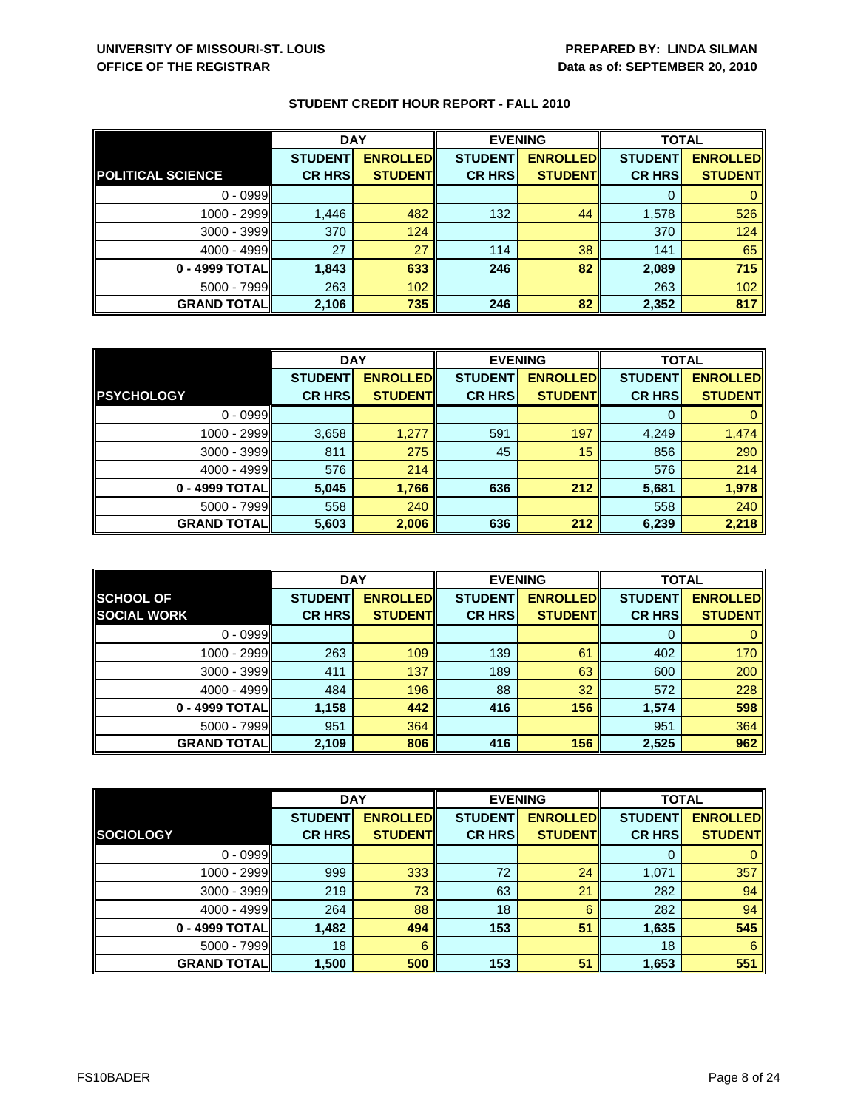|                          | <b>DAY</b>     |                 | <b>EVENING</b> |                 | <b>TOTAL</b>   |                 |
|--------------------------|----------------|-----------------|----------------|-----------------|----------------|-----------------|
|                          | <b>STUDENT</b> | <b>ENROLLED</b> | <b>STUDENT</b> | <b>ENROLLED</b> | <b>STUDENT</b> | <b>ENROLLED</b> |
| <b>POLITICAL SCIENCE</b> | <b>CR HRS</b>  | <b>STUDENT</b>  | <b>CR HRS</b>  | <b>STUDENT</b>  | <b>CR HRS</b>  | <b>STUDENT</b>  |
| $0 - 0999$               |                |                 |                |                 |                |                 |
| 1000 - 2999              | 1,446          | 482             | 132            | 44              | 1,578          | 526             |
| $3000 - 3999$            | 370            | 124             |                |                 | 370            | 124             |
| $4000 - 4999$            | 27             | 27              | 114            | 38              | 141            | 65              |
| 0 - 4999 TOTAL           | 1,843          | 633             | 246            | 82              | 2,089          | 715             |
| $5000 - 7999$            | 263            | 102             |                |                 | 263            | 102             |
| <b>GRAND TOTAL</b>       | 2,106          | 735             | 246            | 82              | 2,352          | 817             |

|                    | <b>DAY</b>     |                 |                | <b>EVENING</b>  |                | <b>TOTAL</b>    |  |
|--------------------|----------------|-----------------|----------------|-----------------|----------------|-----------------|--|
|                    | <b>STUDENT</b> | <b>ENROLLED</b> | <b>STUDENT</b> | <b>ENROLLED</b> | <b>STUDENT</b> | <b>ENROLLED</b> |  |
| <b>PSYCHOLOGY</b>  | <b>CR HRS</b>  | <b>STUDENT</b>  | <b>CR HRS</b>  | <b>STUDENT</b>  | <b>CR HRS</b>  | <b>STUDENT</b>  |  |
| $0 - 0999$         |                |                 |                |                 |                |                 |  |
| 1000 - 2999        | 3,658          | 1,277           | 591            | 197             | 4,249          | 1,474           |  |
| $3000 - 3999$      | 811            | 275             | 45             | 15              | 856            | 290             |  |
| $4000 - 4999$      | 576            | 214             |                |                 | 576            | 214             |  |
| 0 - 4999 TOTAL     | 5,045          | 1,766           | 636            | 212             | 5,681          | 1,978           |  |
| $5000 - 7999$      | 558            | 240             |                |                 | 558            | 240             |  |
| <b>GRAND TOTAL</b> | 5,603          | 2,006           | 636            | 212             | 6,239          | 2,218           |  |

|                                        | <b>DAY</b>                      |                                   |                                 | <b>EVENING</b>                    | <b>TOTAL</b>                    |                                   |
|----------------------------------------|---------------------------------|-----------------------------------|---------------------------------|-----------------------------------|---------------------------------|-----------------------------------|
| <b>SCHOOL OF</b><br><b>SOCIAL WORK</b> | <b>STUDENT</b><br><b>CR HRS</b> | <b>ENROLLED</b><br><b>STUDENT</b> | <b>STUDENT</b><br><b>CR HRS</b> | <b>ENROLLED</b><br><b>STUDENT</b> | <b>STUDENT</b><br><b>CR HRS</b> | <b>ENROLLED</b><br><b>STUDENT</b> |
|                                        |                                 |                                   |                                 |                                   |                                 |                                   |
| $0 - 0999$                             |                                 |                                   |                                 |                                   | O                               |                                   |
| 1000 - 2999                            | 263                             | 109                               | 139                             | 61                                | 402                             | 170                               |
| $3000 - 3999$                          | 411                             | 137                               | 189                             | 63                                | 600                             | 200                               |
| $4000 - 4999$                          | 484                             | 196                               | 88                              | 32                                | 572                             | 228                               |
| 0 - 4999 TOTAL                         | 1,158                           | 442                               | 416                             | 156                               | 1,574                           | 598                               |
| $5000 - 7999$                          | 951                             | 364                               |                                 |                                   | 951                             | 364                               |
| <b>GRAND TOTALI</b>                    | 2,109                           | 806                               | 416                             | 156                               | 2,525                           | 962                               |

|                    | <b>DAY</b>     |                 |                | <b>EVENING</b>  | <b>TOTAL</b>   |                 |
|--------------------|----------------|-----------------|----------------|-----------------|----------------|-----------------|
|                    | <b>STUDENT</b> | <b>ENROLLED</b> | <b>STUDENT</b> | <b>ENROLLED</b> | <b>STUDENT</b> | <b>ENROLLED</b> |
| <b>SOCIOLOGY</b>   | <b>CR HRS</b>  | <b>STUDENT</b>  | <b>CR HRS</b>  | <b>STUDENT</b>  | <b>CR HRS</b>  | <b>STUDENT</b>  |
| $0 - 0999$         |                |                 |                |                 | 0              | 0               |
| 1000 - 2999        | 999            | 333             | 72             | 24              | 1,071          | 357             |
| $3000 - 3999$      | 219            | 73              | 63             | 21              | 282            | 94              |
| $4000 - 4999$      | 264            | 88              | 18             | 6               | 282            | 94              |
| 0 - 4999 TOTAL     | 1,482          | 494             | 153            | 51              | 1,635          | 545             |
| $5000 - 7999$      | 18             | 6               |                |                 | 18             | 6               |
| <b>GRAND TOTAL</b> | 1,500          | 500             | 153            | 51              | 1,653          | 551             |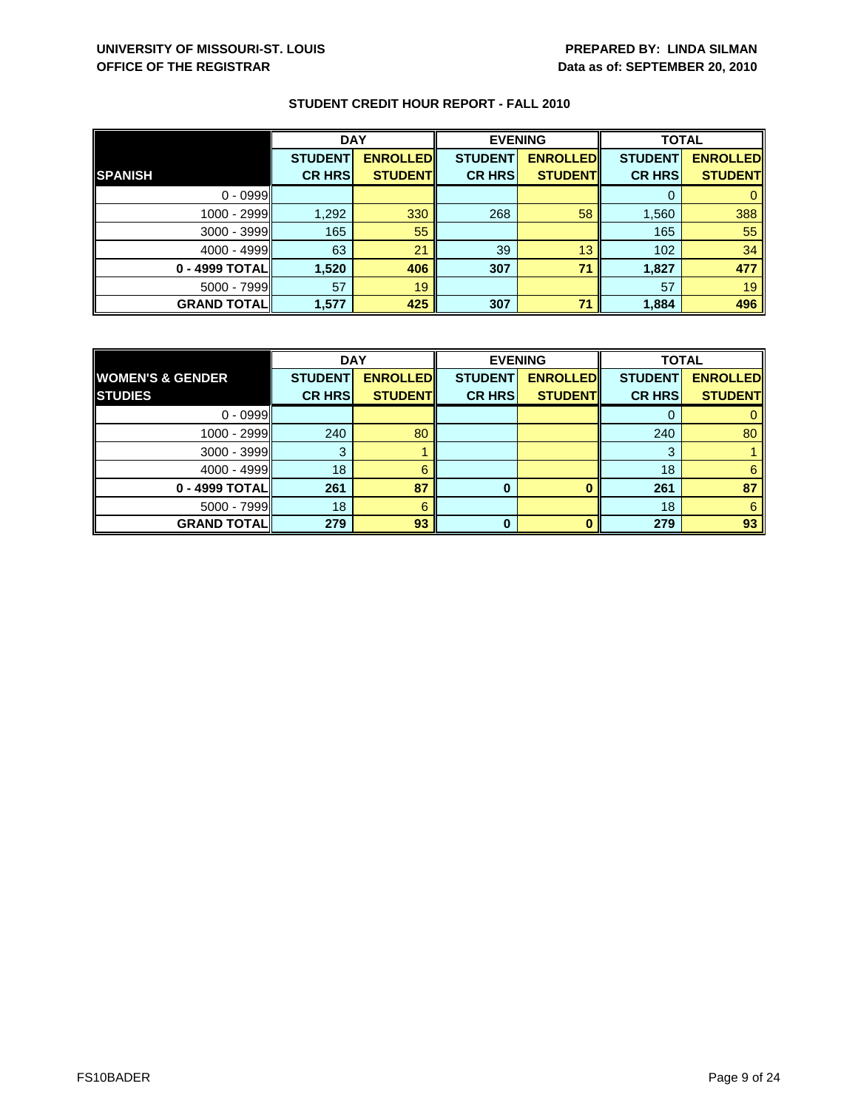|                    | <b>DAY</b>     |                 | <b>EVENING</b> |                 | <b>TOTAL</b>   |                 |
|--------------------|----------------|-----------------|----------------|-----------------|----------------|-----------------|
|                    | <b>STUDENT</b> | <b>ENROLLED</b> | <b>STUDENT</b> | <b>ENROLLED</b> | <b>STUDENT</b> | <b>ENROLLED</b> |
| <b>SPANISH</b>     | <b>CR HRS</b>  | <b>STUDENT</b>  | <b>CR HRS</b>  | <b>STUDENT</b>  | <b>CR HRS</b>  | <b>STUDENT</b>  |
| $0 - 0999$         |                |                 |                |                 |                |                 |
| 1000 - 2999        | 1,292          | 330             | 268            | 58              | 1,560          | 388             |
| $3000 - 3999$      | 165            | 55              |                |                 | 165            | 55              |
| $4000 - 4999$      | 63             | 21              | 39             | 13              | 102            | 34              |
| 0 - 4999 TOTAL     | 1,520          | 406             | 307            | 71              | 1,827          | 477             |
| $5000 - 7999$      | 57             | 19              |                |                 | 57             | 19              |
| <b>GRAND TOTAL</b> | 1,577          | 425             | 307            | 71              | 1,884          | 496             |

|                             | <b>DAY</b>     |                 | <b>EVENING</b> |                 | <b>TOTAL</b>   |                 |
|-----------------------------|----------------|-----------------|----------------|-----------------|----------------|-----------------|
| <b>WOMEN'S &amp; GENDER</b> | <b>STUDENT</b> | <b>ENROLLED</b> | <b>STUDENT</b> | <b>ENROLLED</b> | <b>STUDENT</b> | <b>ENROLLED</b> |
| <b>STUDIES</b>              | <b>CR HRS</b>  | <b>STUDENT</b>  | <b>CR HRS</b>  | <b>STUDENT</b>  | <b>CR HRS</b>  | <b>STUDENT</b>  |
| $0 - 0999$                  |                |                 |                |                 |                |                 |
| $1000 - 2999$               | 240            | 80              |                |                 | 240            | 80              |
| 3000 - 3999                 |                |                 |                |                 | 3              |                 |
| $4000 - 4999$               | 18             |                 |                |                 | 18             |                 |
| 0 - 4999 TOTAL              | 261            | 87              | 0              |                 | 261            | 87              |
| $5000 - 7999$               | 18             | 6               |                |                 | 18             | 6               |
| <b>GRAND TOTAL</b>          | 279            | 93              | 0              |                 | 279            | 93              |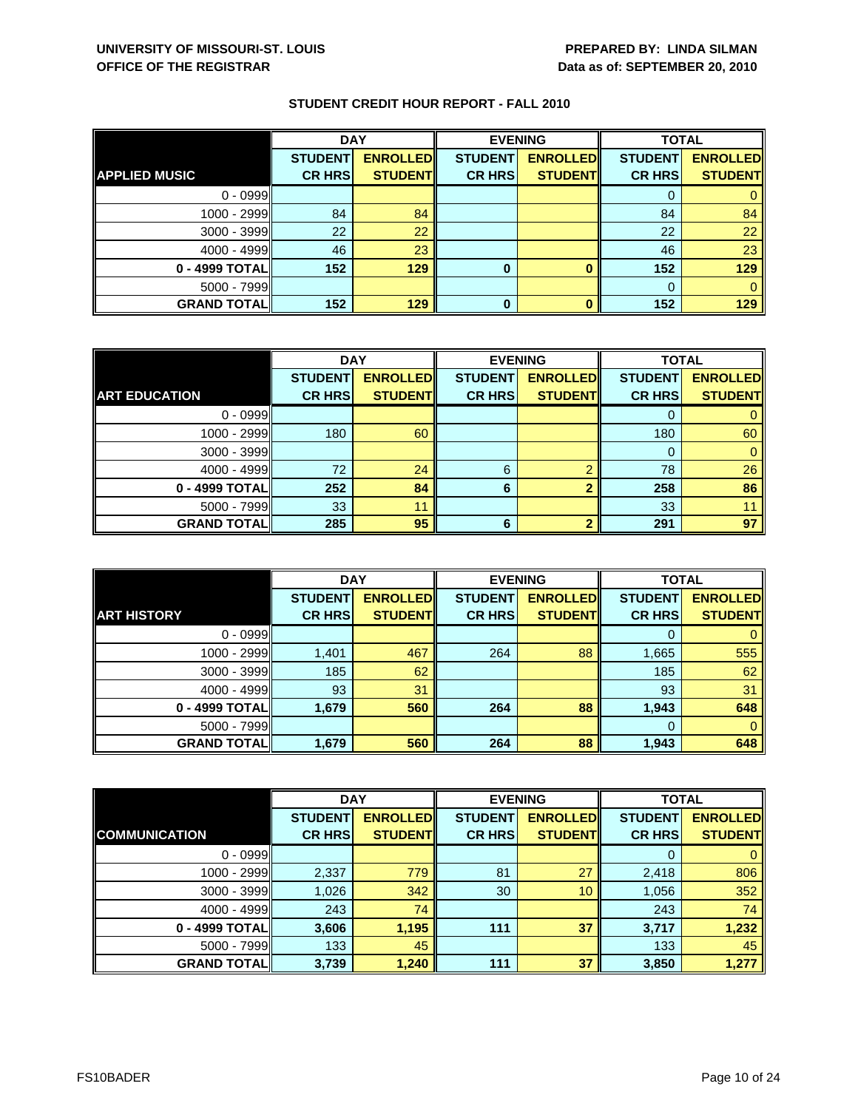|                      | <b>DAY</b>     |                 | <b>EVENING</b> |                 | <b>TOTAL</b>   |                 |
|----------------------|----------------|-----------------|----------------|-----------------|----------------|-----------------|
|                      | <b>STUDENT</b> | <b>ENROLLED</b> | <b>STUDENT</b> | <b>ENROLLED</b> | <b>STUDENT</b> | <b>ENROLLED</b> |
| <b>APPLIED MUSIC</b> | <b>CR HRS</b>  | <b>STUDENT</b>  | <b>CR HRS</b>  | <b>STUDENT</b>  | <b>CR HRS</b>  | <b>STUDENT</b>  |
| $0 - 0999$           |                |                 |                |                 | 0              |                 |
| $1000 - 2999$        | 84             | 84              |                |                 | 84             | 84              |
| $3000 - 3999$        | 22             | 22              |                |                 | 22             | 22              |
| $4000 - 4999$        | 46             | 23              |                |                 | 46             | 23              |
| 0 - 4999 TOTAL       | 152            | 129             | 0              |                 | 152            | 129             |
| $5000 - 7999$        |                |                 |                |                 | $\Omega$       |                 |
| <b>GRAND TOTAL</b>   | 152            | 129             | 0              |                 | 152            | 129             |

|                      | <b>DAY</b>     |                 | <b>EVENING</b> |                 | <b>TOTAL</b>   |                 |
|----------------------|----------------|-----------------|----------------|-----------------|----------------|-----------------|
|                      | <b>STUDENT</b> | <b>ENROLLED</b> | <b>STUDENT</b> | <b>ENROLLED</b> | <b>STUDENT</b> | <b>ENROLLED</b> |
| <b>ART EDUCATION</b> | <b>CR HRS</b>  | <b>STUDENT</b>  | <b>CR HRS</b>  | <b>STUDENT</b>  | <b>CR HRS</b>  | <b>STUDENT</b>  |
| $0 - 0999$           |                |                 |                |                 |                |                 |
| 1000 - 2999          | 180            | 60              |                |                 | 180            | 60              |
| $3000 - 3999$        |                |                 |                |                 | O              |                 |
| $4000 - 4999$        | 72             | 24              | 6              | റ               | 78             | 26              |
| 0 - 4999 TOTAL       | 252            | 84              | 6              | າ               | 258            | 86              |
| $5000 - 7999$        | 33             | 11              |                |                 | 33             |                 |
| <b>GRAND TOTAL</b>   | 285            | 95              | 6              | ົ               | 291            | 97              |

|                     | <b>DAY</b>                      |                                   |                                 | <b>EVENING</b>                    | <b>TOTAL</b>                    |                                   |
|---------------------|---------------------------------|-----------------------------------|---------------------------------|-----------------------------------|---------------------------------|-----------------------------------|
| <b>ART HISTORY</b>  | <b>STUDENT</b><br><b>CR HRS</b> | <b>ENROLLED</b><br><b>STUDENT</b> | <b>STUDENT</b><br><b>CR HRS</b> | <b>ENROLLED</b><br><b>STUDENT</b> | <b>STUDENT</b><br><b>CR HRS</b> | <b>ENROLLED</b><br><b>STUDENT</b> |
|                     |                                 |                                   |                                 |                                   |                                 |                                   |
| $0 - 0999$          |                                 |                                   |                                 |                                   | O                               |                                   |
| 1000 - 2999         | 1,401                           | 467                               | 264                             | 88                                | 1,665                           | 555                               |
| $3000 - 3999$       | 185                             | 62                                |                                 |                                   | 185                             | 62                                |
| $4000 - 4999$       | 93                              | 31                                |                                 |                                   | 93                              | 31                                |
| 0 - 4999 TOTAL      | 1,679                           | 560                               | 264                             | 88                                | 1,943                           | 648                               |
| $5000 - 7999$       |                                 |                                   |                                 |                                   | $\Omega$                        | 0                                 |
| <b>GRAND TOTALI</b> | 1,679                           | 560                               | 264                             | 88                                | 1,943                           | 648                               |

|                      | <b>DAY</b>     |                 | <b>EVENING</b> |                 | <b>TOTAL</b>   |                 |
|----------------------|----------------|-----------------|----------------|-----------------|----------------|-----------------|
|                      | <b>STUDENT</b> | <b>ENROLLED</b> | <b>STUDENT</b> | <b>ENROLLED</b> | <b>STUDENT</b> | <b>ENROLLED</b> |
| <b>COMMUNICATION</b> | <b>CR HRS</b>  | <b>STUDENT</b>  | <b>CR HRS</b>  | <b>STUDENT</b>  | <b>CR HRS</b>  | <b>STUDENT</b>  |
| $0 - 0999$           |                |                 |                |                 | 0              | $\mathbf{0}$    |
| 1000 - 2999          | 2,337          | 779             | 81             | 27              | 2,418          | 806             |
| 3000 - 3999          | 1,026          | 342             | 30             | 10              | 1,056          | 352             |
| $4000 - 4999$        | 243            | 74              |                |                 | 243            | 74              |
| 0 - 4999 TOTAL       | 3,606          | 1,195           | 111            | 37              | 3,717          | 1,232           |
| $5000 - 7999$        | 133            | 45              |                |                 | 133            | 45              |
| <b>GRAND TOTAL</b>   | 3,739          | 1,240           | 111            | 37              | 3,850          | 1,277           |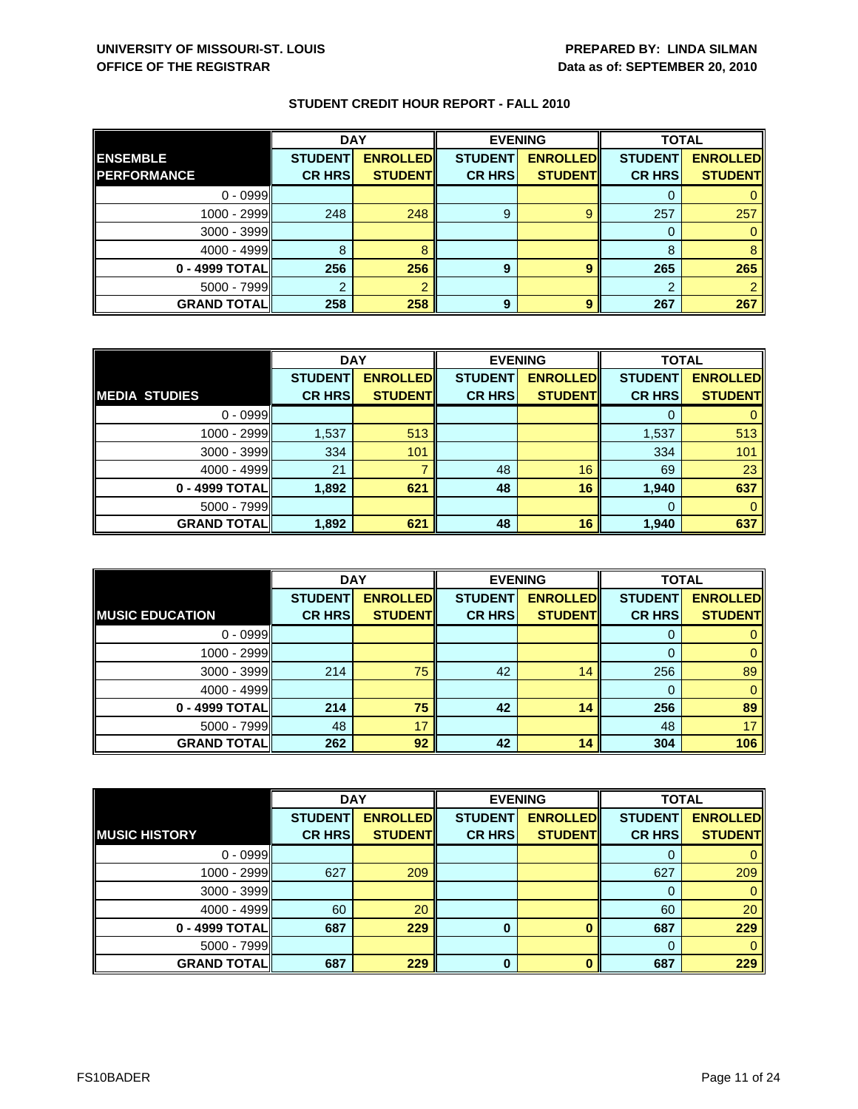|                    | <b>DAY</b>     |                 | <b>EVENING</b> |                 | <b>TOTAL</b>   |                 |
|--------------------|----------------|-----------------|----------------|-----------------|----------------|-----------------|
| <b>ENSEMBLE</b>    | <b>STUDENT</b> | <b>ENROLLED</b> | <b>STUDENT</b> | <b>ENROLLED</b> | <b>STUDENT</b> | <b>ENROLLED</b> |
| <b>PERFORMANCE</b> | <b>CR HRS</b>  | <b>STUDENT</b>  | <b>CR HRS</b>  | <b>STUDENT</b>  | <b>CR HRS</b>  | <b>STUDENT</b>  |
| $0 - 0999$         |                |                 |                |                 |                |                 |
| 1000 - 2999        | 248            | 248             | 9              | 9               | 257            | 257             |
| $3000 - 3999$      |                |                 |                |                 | 0              |                 |
| $4000 - 4999$      | 8              |                 |                |                 | 8              |                 |
| 0 - 4999 TOTAL     | 256            | 256             | 9              | 9               | 265            | 265             |
| $5000 - 7999$      |                |                 |                |                 | 2              |                 |
| <b>GRAND TOTAL</b> | 258            | 258             | 9              | 9               | 267            | 267             |

|                      | <b>DAY</b>     |                 |                | <b>EVENING</b>  | <b>TOTAL</b>   |                 |
|----------------------|----------------|-----------------|----------------|-----------------|----------------|-----------------|
|                      | <b>STUDENT</b> | <b>ENROLLED</b> | <b>STUDENT</b> | <b>ENROLLED</b> | <b>STUDENT</b> | <b>ENROLLED</b> |
| <b>MEDIA STUDIES</b> | <b>CR HRS</b>  | <b>STUDENT</b>  | <b>CR HRS</b>  | <b>STUDENT</b>  | <b>CR HRS</b>  | <b>STUDENT</b>  |
| $0 - 0999$           |                |                 |                |                 |                |                 |
| 1000 - 2999          | 1,537          | 513             |                |                 | 1,537          | 513             |
| $3000 - 3999$        | 334            | 101             |                |                 | 334            | 101             |
| $4000 - 4999$        | 21             |                 | 48             | 16              | 69             | 23              |
| 0 - 4999 TOTAL       | 1,892          | 621             | 48             | 16              | 1,940          | 637             |
| $5000 - 7999$        |                |                 |                |                 | 0              |                 |
| <b>GRAND TOTAL</b>   | 1,892          | 621             | 48             | 16              | 1,940          | 637             |

|                        | <b>DAY</b>     |                 |                | <b>EVENING</b>  | <b>TOTAL</b>   |                 |
|------------------------|----------------|-----------------|----------------|-----------------|----------------|-----------------|
|                        | <b>STUDENT</b> | <b>ENROLLED</b> | <b>STUDENT</b> | <b>ENROLLED</b> | <b>STUDENT</b> | <b>ENROLLED</b> |
| <b>MUSIC EDUCATION</b> | <b>CR HRS</b>  | <b>STUDENT</b>  | <b>CR HRS</b>  | <b>STUDENT</b>  | <b>CR HRS</b>  | <b>STUDENT</b>  |
| $0 - 0999$             |                |                 |                |                 | O              |                 |
| 1000 - 2999            |                |                 |                |                 |                | 0               |
| 3000 - 3999            | 214            | 75              | 42             | 14              | 256            | 89              |
| $4000 - 4999$          |                |                 |                |                 | 0              | 0               |
| 0 - 4999 TOTAL         | 214            | 75              | 42             | 14              | 256            | 89              |
| $5000 - 7999$          | 48             | 17              |                |                 | 48             | 17              |
| <b>GRAND TOTALI</b>    | 262            | 92              | 42             | 14              | 304            | 106             |

|                      | <b>DAY</b>     |                 |                | <b>EVENING</b>  | <b>TOTAL</b>   |                 |
|----------------------|----------------|-----------------|----------------|-----------------|----------------|-----------------|
|                      | <b>STUDENT</b> | <b>ENROLLED</b> | <b>STUDENT</b> | <b>ENROLLED</b> | <b>STUDENT</b> | <b>ENROLLED</b> |
| <b>MUSIC HISTORY</b> | <b>CR HRS</b>  | <b>STUDENT</b>  | <b>CR HRS</b>  | <b>STUDENT</b>  | <b>CR HRS</b>  | <b>STUDENT</b>  |
| $0 - 0999$           |                |                 |                |                 | 0              | 0               |
| 1000 - 2999          | 627            | 209             |                |                 | 627            | 209             |
| $3000 - 3999$        |                |                 |                |                 | 0              | $\mathbf{0}$    |
| 4000 - 4999          | 60             | 20              |                |                 | 60             | 20              |
| 0 - 4999 TOTAL       | 687            | 229             | 0              |                 | 687            | 229             |
| $5000 - 7999$        |                |                 |                |                 | $\Omega$       | $\mathbf{0}$    |
| <b>GRAND TOTAL</b>   | 687            | 229             | $\bf{0}$       | n               | 687            | 229             |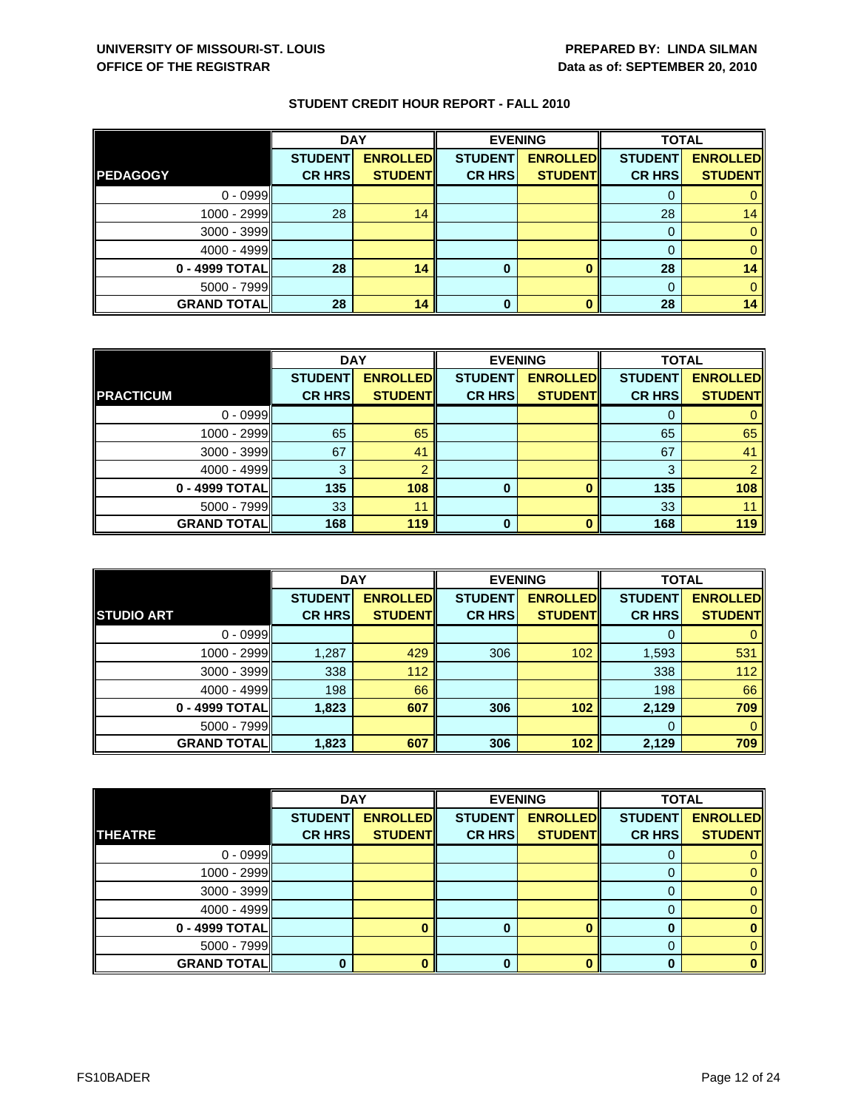|                    | <b>DAY</b>     |                 | <b>EVENING</b> |                 | <b>TOTAL</b>   |                 |
|--------------------|----------------|-----------------|----------------|-----------------|----------------|-----------------|
|                    | <b>STUDENT</b> | <b>ENROLLED</b> | <b>STUDENT</b> | <b>ENROLLED</b> | <b>STUDENT</b> | <b>ENROLLED</b> |
| <b>PEDAGOGY</b>    | <b>CR HRS</b>  | <b>STUDENT</b>  | <b>CR HRS</b>  | <b>STUDENT</b>  | <b>CR HRS</b>  | <b>STUDENT</b>  |
| $0 - 0999$         |                |                 |                |                 |                |                 |
| $1000 - 2999$      | 28             | 14              |                |                 | 28             | 14              |
| $3000 - 3999$      |                |                 |                |                 |                |                 |
| $4000 - 4999$      |                |                 |                |                 |                |                 |
| 0 - 4999 TOTAL     | 28             | 14              | 0              |                 | 28             | 14              |
| $5000 - 7999$      |                |                 |                |                 | $\Omega$       |                 |
| <b>GRAND TOTAL</b> | 28             | 14              | $\bf{0}$       |                 | 28             | 14              |

|                    | <b>DAY</b>     |                 | <b>EVENING</b> |                 | <b>TOTAL</b>   |                 |
|--------------------|----------------|-----------------|----------------|-----------------|----------------|-----------------|
|                    | <b>STUDENT</b> | <b>ENROLLED</b> | <b>STUDENT</b> | <b>ENROLLED</b> | <b>STUDENT</b> | <b>ENROLLED</b> |
| <b>PRACTICUM</b>   | <b>CR HRS</b>  | <b>STUDENT</b>  | <b>CR HRS</b>  | <b>STUDENT</b>  | <b>CR HRS</b>  | <b>STUDENT</b>  |
| $0 - 0999$         |                |                 |                |                 |                |                 |
| 1000 - 2999        | 65             | 65              |                |                 | 65             | 65              |
| 3000 - 3999        | 67             | 41              |                |                 | 67             | 41              |
| $4000 - 4999$      | З              |                 |                |                 | 3              |                 |
| 0 - 4999 TOTAL     | 135            | 108             | 0              |                 | 135            | 108             |
| 5000 - 7999        | 33             | 11              |                |                 | 33             |                 |
| <b>GRAND TOTAL</b> | 168            | 119             | O              |                 | 168            | 119             |

|                     | <b>DAY</b>                      |                                   |                                 | <b>EVENING</b>                    | <b>TOTAL</b>                    |                                   |
|---------------------|---------------------------------|-----------------------------------|---------------------------------|-----------------------------------|---------------------------------|-----------------------------------|
| <b>STUDIO ART</b>   | <b>STUDENT</b><br><b>CR HRS</b> | <b>ENROLLED</b><br><b>STUDENT</b> | <b>STUDENT</b><br><b>CR HRS</b> | <b>ENROLLED</b><br><b>STUDENT</b> | <b>STUDENT</b><br><b>CR HRS</b> | <b>ENROLLED</b><br><b>STUDENT</b> |
|                     |                                 |                                   |                                 |                                   |                                 |                                   |
| $0 - 0999$          |                                 |                                   |                                 |                                   | O                               |                                   |
| 1000 - 2999         | 1,287                           | 429                               | 306                             | 102                               | 1,593                           | 531                               |
| $3000 - 3999$       | 338                             | 112                               |                                 |                                   | 338                             | 112                               |
| $4000 - 4999$       | 198                             | 66                                |                                 |                                   | 198                             | 66                                |
| 0 - 4999 TOTAL      | 1,823                           | 607                               | 306                             | 102                               | 2,129                           | 709                               |
| $5000 - 7999$       |                                 |                                   |                                 |                                   | 0                               | 0                                 |
| <b>GRAND TOTALI</b> | 1,823                           | 607                               | 306                             | 102                               | 2,129                           | 709                               |

|                    | <b>DAY</b>     |                 |                | <b>EVENING</b>  | <b>TOTAL</b>   |                 |
|--------------------|----------------|-----------------|----------------|-----------------|----------------|-----------------|
|                    | <b>STUDENT</b> | <b>ENROLLED</b> | <b>STUDENT</b> | <b>ENROLLED</b> | <b>STUDENT</b> | <b>ENROLLED</b> |
| <b>THEATRE</b>     | <b>CR HRS</b>  | <b>STUDENT</b>  | <b>CR HRS</b>  | <b>STUDENT</b>  | <b>CR HRS</b>  | <b>STUDENT</b>  |
| $0 - 0999$         |                |                 |                |                 | O              |                 |
| 1000 - 2999        |                |                 |                |                 |                | 0               |
| $3000 - 3999$      |                |                 |                |                 | 0              | 0               |
| $4000 - 4999$      |                |                 |                |                 | 0              | 0               |
| 0 - 4999 TOTAL     |                |                 | 0              |                 | 0              | 0               |
| 5000 - 7999        |                |                 |                |                 | 0              | 0.              |
| <b>GRAND TOTAL</b> |                |                 | ŋ              |                 | n              | $\bf{0}$        |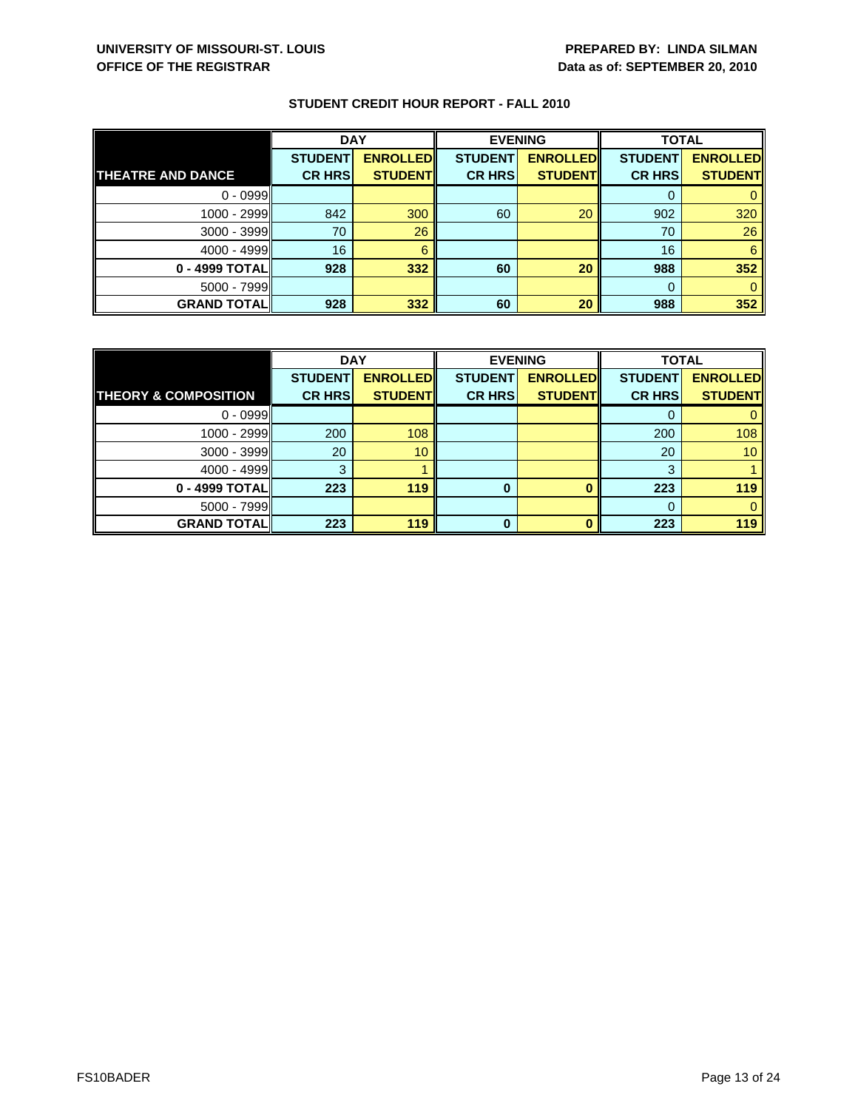|                          | <b>DAY</b>     |                 | <b>EVENING</b> |                 | <b>TOTAL</b>   |                 |
|--------------------------|----------------|-----------------|----------------|-----------------|----------------|-----------------|
|                          | <b>STUDENT</b> | <b>ENROLLED</b> | <b>STUDENT</b> | <b>ENROLLED</b> | <b>STUDENT</b> | <b>ENROLLED</b> |
| <b>THEATRE AND DANCE</b> | <b>CR HRS</b>  | <b>STUDENT</b>  | <b>CR HRS</b>  | <b>STUDENT</b>  | <b>CR HRS</b>  | <b>STUDENT</b>  |
| $0 - 0999$               |                |                 |                |                 |                |                 |
| 1000 - 2999              | 842            | 300             | 60             | 20              | 902            | 320             |
| $3000 - 3999$            | 70             | 26              |                |                 | 70             | 26              |
| $4000 - 4999$            | 16             | 6               |                |                 | 16             | 6               |
| 0 - 4999 TOTAL           | 928            | 332             | 60             | 20              | 988            | 352             |
| $5000 - 7999$            |                |                 |                |                 | $\Omega$       |                 |
| <b>GRAND TOTAL</b>       | 928            | 332             | 60             | 20              | 988            | 352             |

|                                 | <b>DAY</b>     |                 | <b>EVENING</b> |                 | <b>TOTAL</b>   |                 |
|---------------------------------|----------------|-----------------|----------------|-----------------|----------------|-----------------|
|                                 | <b>STUDENT</b> | <b>ENROLLED</b> | <b>STUDENT</b> | <b>ENROLLED</b> | <b>STUDENT</b> | <b>ENROLLED</b> |
| <b>THEORY &amp; COMPOSITION</b> | <b>CR HRS</b>  | <b>STUDENT</b>  | <b>CR HRS</b>  | <b>STUDENT</b>  | <b>CR HRS</b>  | <b>STUDENT</b>  |
| $0 - 0999$                      |                |                 |                |                 |                |                 |
| $1000 - 2999$                   | 200            | 108             |                |                 | 200            | 108             |
| $3000 - 3999$                   | 20             | 10              |                |                 | 20             | 10 <sup>°</sup> |
| $4000 - 4999$                   | З              |                 |                |                 | 3              |                 |
| 0 - 4999 TOTAL                  | 223            | 119             | 0              |                 | 223            | 119             |
| $5000 - 7999$                   |                |                 |                |                 |                |                 |
| <b>GRAND TOTAL</b>              | 223            | 119             | ŋ              |                 | 223            | 119             |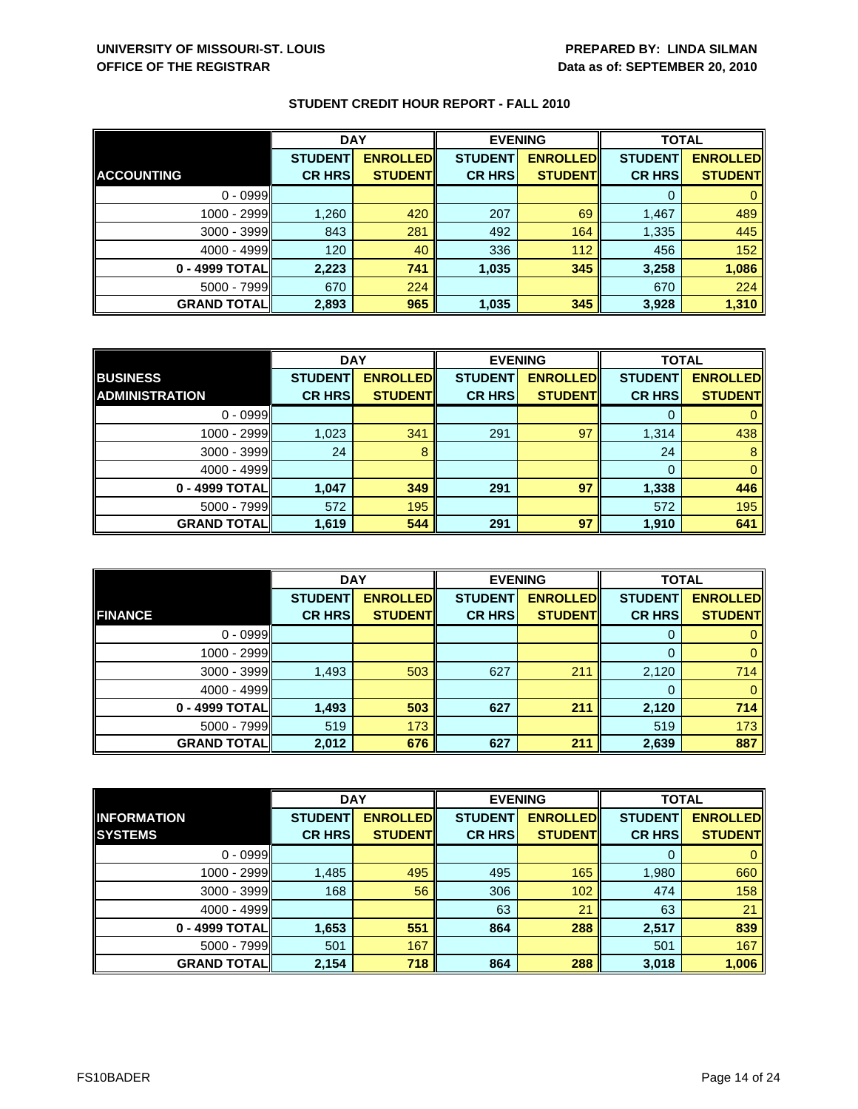|                    | <b>DAY</b>     |                 | <b>EVENING</b> |                 | <b>TOTAL</b>   |                 |
|--------------------|----------------|-----------------|----------------|-----------------|----------------|-----------------|
|                    | <b>STUDENT</b> | <b>ENROLLED</b> | <b>STUDENT</b> | <b>ENROLLED</b> | <b>STUDENT</b> | <b>ENROLLED</b> |
| <b>ACCOUNTING</b>  | <b>CR HRS</b>  | <b>STUDENT</b>  | <b>CR HRS</b>  | <b>STUDENT</b>  | <b>CR HRS</b>  | <b>STUDENT</b>  |
| $0 - 0999$         |                |                 |                |                 |                |                 |
| 1000 - 2999        | 1,260          | 420             | 207            | 69              | 1,467          | 489             |
| $3000 - 3999$      | 843            | 281             | 492            | 164             | 1,335          | 445             |
| $4000 - 4999$      | 120            | 40              | 336            | 112             | 456            | 152             |
| 0 - 4999 TOTAL     | 2,223          | 741             | 1,035          | 345             | 3,258          | 1,086           |
| $5000 - 7999$      | 670            | 224             |                |                 | 670            | 224             |
| <b>GRAND TOTAL</b> | 2,893          | 965             | 1,035          | 345             | 3,928          | 1,310           |

|                       | <b>DAY</b>     |                 |                | <b>EVENING</b>  | <b>TOTAL</b>   |                 |
|-----------------------|----------------|-----------------|----------------|-----------------|----------------|-----------------|
| <b>BUSINESS</b>       | <b>STUDENT</b> | <b>ENROLLED</b> | <b>STUDENT</b> | <b>ENROLLED</b> | <b>STUDENT</b> | <b>ENROLLED</b> |
| <b>ADMINISTRATION</b> | <b>CR HRS</b>  | <b>STUDENT</b>  | <b>CR HRS</b>  | <b>STUDENT</b>  | <b>CR HRS</b>  | <b>STUDENT</b>  |
| $0 - 0999$            |                |                 |                |                 |                |                 |
| 1000 - 2999           | 1,023          | 341             | 291            | 97              | 1,314          | 438             |
| $3000 - 3999$         | 24             | 8               |                |                 | 24             | 8               |
| $4000 - 4999$         |                |                 |                |                 | 0              | $\mathbf{0}$    |
| 0 - 4999 TOTAL        | 1,047          | 349             | 291            | 97              | 1,338          | 446             |
| $5000 - 7999$         | 572            | 195             |                |                 | 572            | 195             |
| <b>GRAND TOTAL</b>    | 1,619          | 544             | 291            | 97              | 1,910          | 641             |

|                    | <b>DAY</b>                      |                                   | <b>EVENING</b>                  |                                   | <b>TOTAL</b>                    |                                   |
|--------------------|---------------------------------|-----------------------------------|---------------------------------|-----------------------------------|---------------------------------|-----------------------------------|
| <b>FINANCE</b>     | <b>STUDENT</b><br><b>CR HRS</b> | <b>ENROLLED</b><br><b>STUDENT</b> | <b>STUDENT</b><br><b>CR HRS</b> | <b>ENROLLED</b><br><b>STUDENT</b> | <b>STUDENT</b><br><b>CR HRS</b> | <b>ENROLLED</b><br><b>STUDENT</b> |
|                    |                                 |                                   |                                 |                                   |                                 |                                   |
| $0 - 0999$         |                                 |                                   |                                 |                                   | O                               |                                   |
| 1000 - 2999        |                                 |                                   |                                 |                                   |                                 | 0                                 |
| $3000 - 3999$      | 1,493                           | 503                               | 627                             | 211                               | 2,120                           | 714                               |
| $4000 - 4999$      |                                 |                                   |                                 |                                   |                                 | 0                                 |
| 0 - 4999 TOTAL     | 1,493                           | 503                               | 627                             | 211                               | 2,120                           | 714                               |
| 5000 - 7999        | 519                             | 173                               |                                 |                                   | 519                             | 173                               |
| <b>GRAND TOTAL</b> | 2,012                           | 676                               | 627                             | 211                               | 2,639                           | 887                               |

|                    | <b>DAY</b>     |                 | <b>EVENING</b> |                 | <b>TOTAL</b>   |                 |
|--------------------|----------------|-----------------|----------------|-----------------|----------------|-----------------|
| <b>INFORMATION</b> | <b>STUDENT</b> | <b>ENROLLED</b> | <b>STUDENT</b> | <b>ENROLLED</b> | <b>STUDENT</b> | <b>ENROLLED</b> |
| <b>SYSTEMS</b>     | <b>CR HRS</b>  | <b>STUDENT</b>  | <b>CR HRS</b>  | <b>STUDENT</b>  | <b>CR HRS</b>  | <b>STUDENT</b>  |
| $0 - 0999$         |                |                 |                |                 | 0              | $\mathbf{0}$    |
| 1000 - 2999        | 1,485          | 495             | 495            | 165             | 1,980          | 660             |
| $3000 - 3999$      | 168            | 56              | 306            | 102             | 474            | 158             |
| $4000 - 4999$      |                |                 | 63             | 21              | 63             | 21              |
| 0 - 4999 TOTAL     | 1,653          | 551             | 864            | 288             | 2,517          | 839             |
| $5000 - 7999$      | 501            | 167             |                |                 | 501            | 167             |
| <b>GRAND TOTAL</b> | 2,154          | 718             | 864            | 288             | 3,018          | 1,006           |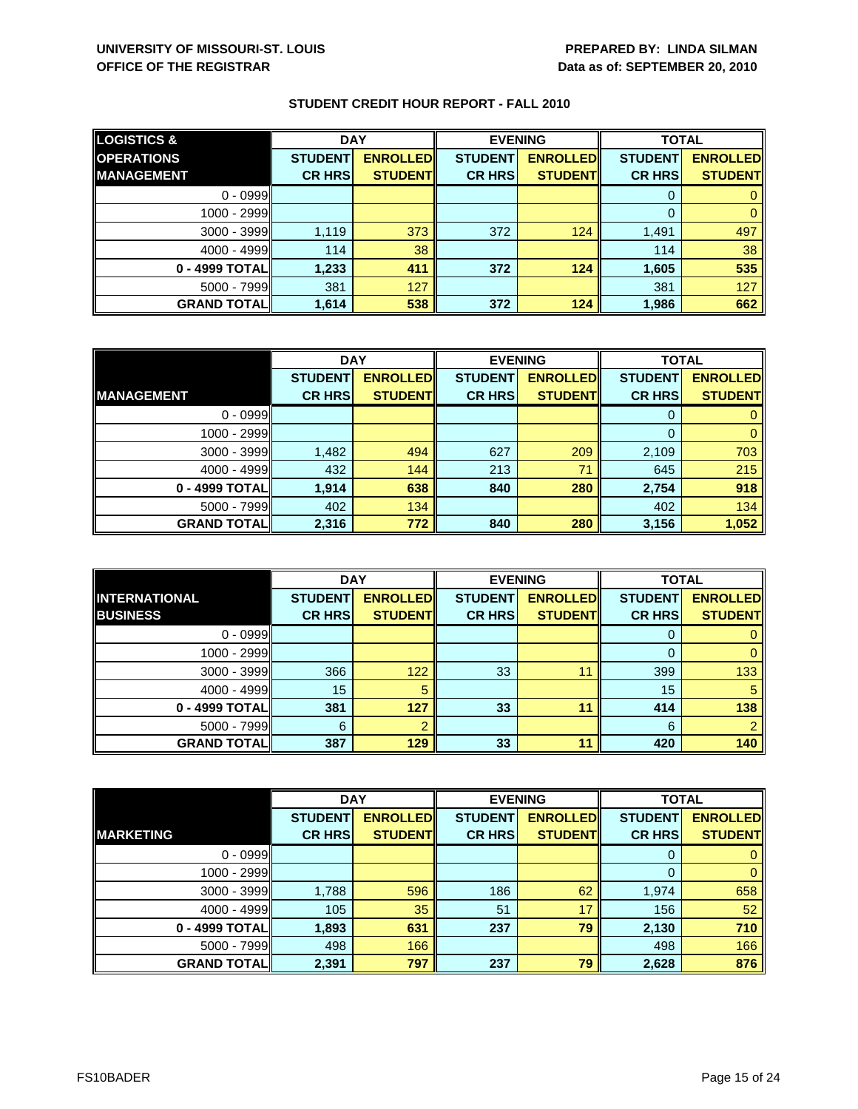| <b>LOGISTICS &amp;</b> | <b>DAY</b>     |                 | <b>EVENING</b> |                 | <b>TOTAL</b>   |                 |
|------------------------|----------------|-----------------|----------------|-----------------|----------------|-----------------|
| <b>OPERATIONS</b>      | <b>STUDENT</b> | <b>ENROLLED</b> | <b>STUDENT</b> | <b>ENROLLED</b> | <b>STUDENT</b> | <b>ENROLLED</b> |
| <b>MANAGEMENT</b>      | <b>CR HRS</b>  | <b>STUDENT</b>  | <b>CR HRS</b>  | <b>STUDENT</b>  | <b>CR HRS</b>  | <b>STUDENT</b>  |
| $0 - 0999$             |                |                 |                |                 | 0              |                 |
| $1000 - 2999$          |                |                 |                |                 | $\Omega$       |                 |
| $3000 - 3999$          | 1,119          | 373             | 372            | 124             | 1,491          | 497             |
| $4000 - 4999$          | 114            | 38              |                |                 | 114            | 38              |
| 0 - 4999 TOTAL         | 1,233          | 411             | 372            | 124             | 1,605          | 535             |
| $5000 - 7999$          | 381            | 127             |                |                 | 381            | 127             |
| <b>GRAND TOTAL</b>     | 1,614          | 538             | 372            | 124             | 1,986          | 662             |

|                    | <b>DAY</b>     |                 | <b>EVENING</b> |                 | <b>TOTAL</b>   |                 |
|--------------------|----------------|-----------------|----------------|-----------------|----------------|-----------------|
|                    | <b>STUDENT</b> | <b>ENROLLED</b> | <b>STUDENT</b> | <b>ENROLLED</b> | <b>STUDENT</b> | <b>ENROLLED</b> |
| <b>MANAGEMENT</b>  | <b>CR HRS</b>  | <b>STUDENT</b>  | <b>CR HRS</b>  | <b>STUDENT</b>  | <b>CR HRS</b>  | <b>STUDENT</b>  |
| $0 - 0999$         |                |                 |                |                 |                |                 |
| $1000 - 2999$      |                |                 |                |                 | 0              |                 |
| $3000 - 3999$      | 1,482          | 494             | 627            | 209             | 2,109          | 703             |
| $4000 - 4999$      | 432            | 144             | 213            | 71              | 645            | 215             |
| 0 - 4999 TOTAL     | 1.914          | 638             | 840            | 280             | 2,754          | 918             |
| $5000 - 7999$      | 402            | 134             |                |                 | 402            | 134             |
| <b>GRAND TOTAL</b> | 2,316          | 772             | 840            | 280             | 3,156          | 1,052           |

|                                         | <b>DAY</b>                      |                                    |                                 | <b>EVENING</b>                     | <b>TOTAL</b>                    |                                   |
|-----------------------------------------|---------------------------------|------------------------------------|---------------------------------|------------------------------------|---------------------------------|-----------------------------------|
| <b>INTERNATIONAL</b><br><b>BUSINESS</b> | <b>STUDENT</b><br><b>CR HRS</b> | <b>ENROLLED</b><br><b>STUDENTI</b> | <b>STUDENT</b><br><b>CR HRS</b> | <b>ENROLLED</b><br><b>STUDENTI</b> | <b>STUDENT</b><br><b>CR HRS</b> | <b>ENROLLED</b><br><b>STUDENT</b> |
| $0 - 0999$                              |                                 |                                    |                                 |                                    | O                               |                                   |
| 1000 - 2999                             |                                 |                                    |                                 |                                    |                                 |                                   |
| $3000 - 3999$                           | 366                             | 122                                | 33                              | 11                                 | 399                             | 133                               |
| $4000 - 4999$                           | 15                              | 5                                  |                                 |                                    | 15                              | 5                                 |
| 0 - 4999 TOTALI                         | 381                             | 127                                | 33                              | 11                                 | 414                             | 138                               |
| $5000 - 7999$                           | 6                               |                                    |                                 |                                    | 6                               |                                   |
| <b>GRAND TOTALI</b>                     | 387                             | 129                                | 33                              | 11                                 | 420                             | 140                               |

|                    | <b>DAY</b>     |                 | <b>EVENING</b> |                 | <b>TOTAL</b>   |                 |
|--------------------|----------------|-----------------|----------------|-----------------|----------------|-----------------|
|                    | <b>STUDENT</b> | <b>ENROLLED</b> | <b>STUDENT</b> | <b>ENROLLED</b> | <b>STUDENT</b> | <b>ENROLLED</b> |
| <b>MARKETING</b>   | <b>CR HRS</b>  | <b>STUDENT</b>  | <b>CR HRS</b>  | <b>STUDENT</b>  | <b>CR HRS</b>  | <b>STUDENT</b>  |
| $0 - 0999$         |                |                 |                |                 | 0              | $\mathbf{0}$    |
| 1000 - 2999        |                |                 |                |                 | 0              | $\mathbf{0}$    |
| $3000 - 3999$      | 1,788          | 596             | 186            | 62              | 1,974          | 658             |
| $4000 - 4999$      | 105            | 35              | 51             | 17              | 156            | 52              |
| 0 - 4999 TOTAL     | 1,893          | 631             | 237            | 79              | 2,130          | 710             |
| $5000 - 7999$      | 498            | 166             |                |                 | 498            | 166             |
| <b>GRAND TOTAL</b> | 2,391          | 797             | 237            | 79              | 2,628          | 876             |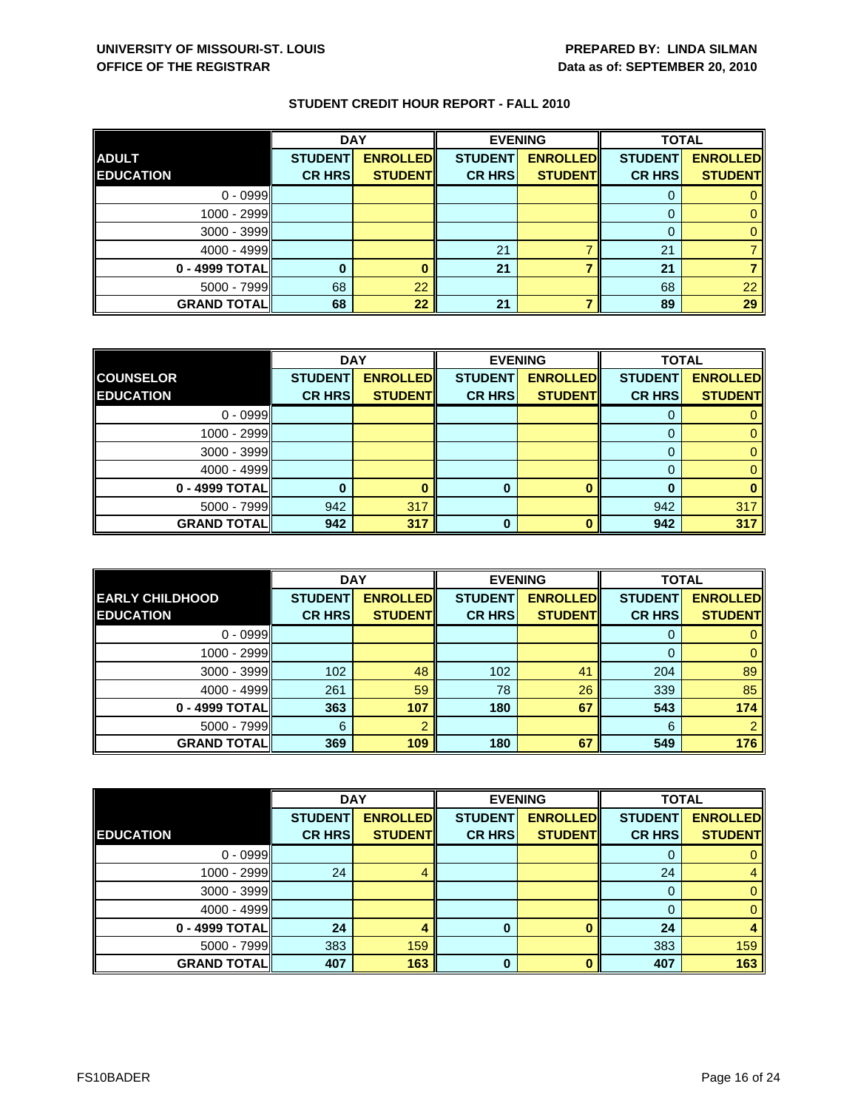|                    | <b>DAY</b>     |                 | <b>EVENING</b> |                 | <b>TOTAL</b>   |                 |
|--------------------|----------------|-----------------|----------------|-----------------|----------------|-----------------|
| <b>ADULT</b>       | <b>STUDENT</b> | <b>ENROLLED</b> | <b>STUDENT</b> | <b>ENROLLED</b> | <b>STUDENT</b> | <b>ENROLLED</b> |
| <b>EDUCATION</b>   | <b>CR HRS</b>  | <b>STUDENT</b>  | <b>CR HRS</b>  | <b>STUDENT</b>  | <b>CR HRS</b>  | <b>STUDENT</b>  |
| $0 - 0999$         |                |                 |                |                 |                |                 |
| 1000 - 2999        |                |                 |                |                 |                |                 |
| $3000 - 3999$      |                |                 |                |                 |                |                 |
| $4000 - 4999$      |                |                 | 21             |                 | 21             |                 |
| 0 - 4999 TOTAL     |                |                 | 21             |                 | 21             |                 |
| 5000 - 7999        | 68             | 22              |                |                 | 68             | 22              |
| <b>GRAND TOTAL</b> | 68             | 22              | 21             |                 | 89             | 29              |

|                    | <b>DAY</b>     |                 |                | <b>EVENING</b>  | <b>TOTAL</b>   |                 |
|--------------------|----------------|-----------------|----------------|-----------------|----------------|-----------------|
| <b>COUNSELOR</b>   | <b>STUDENT</b> | <b>ENROLLED</b> | <b>STUDENT</b> | <b>ENROLLED</b> | <b>STUDENT</b> | <b>ENROLLED</b> |
| <b>EDUCATION</b>   | <b>CR HRS</b>  | <b>STUDENT</b>  | <b>CR HRS</b>  | <b>STUDENT</b>  | <b>CR HRS</b>  | <b>STUDENT</b>  |
| $0 - 0999$         |                |                 |                |                 |                |                 |
| $1000 - 2999$      |                |                 |                |                 |                |                 |
| $3000 - 3999$      |                |                 |                |                 |                |                 |
| $4000 - 4999$      |                |                 |                |                 |                |                 |
| 0 - 4999 TOTAL     |                |                 | 0              |                 |                |                 |
| $5000 - 7999$      | 942            | 317             |                |                 | 942            | 317             |
| <b>GRAND TOTAL</b> | 942            | 317             | 0              |                 | 942            | 317             |

|                                            | <b>DAY</b>                      |                                    |                                 | <b>EVENING</b>                    | <b>TOTAL</b>                    |                                   |
|--------------------------------------------|---------------------------------|------------------------------------|---------------------------------|-----------------------------------|---------------------------------|-----------------------------------|
| <b>EARLY CHILDHOOD</b><br><b>EDUCATION</b> | <b>STUDENT</b><br><b>CR HRS</b> | <b>ENROLLEDI</b><br><b>STUDENT</b> | <b>STUDENT</b><br><b>CR HRS</b> | <b>ENROLLED</b><br><b>STUDENT</b> | <b>STUDENT</b><br><b>CR HRS</b> | <b>ENROLLED</b><br><b>STUDENT</b> |
|                                            |                                 |                                    |                                 |                                   |                                 |                                   |
| $0 - 0999$                                 |                                 |                                    |                                 |                                   | O                               |                                   |
| 1000 - 2999                                |                                 |                                    |                                 |                                   |                                 |                                   |
| $3000 - 3999$                              | 102                             | 48                                 | 102                             | 41                                | 204                             | 89                                |
| $4000 - 4999$                              | 261                             | 59                                 | 78                              | 26                                | 339                             | 85                                |
| 0 - 4999 TOTALI                            | 363                             | 107                                | 180                             | 67                                | 543                             | 174                               |
| $5000 - 7999$                              | 6                               |                                    |                                 |                                   | 6                               | 2                                 |
| <b>GRAND TOTALI</b>                        | 369                             | 109                                | 180                             | 67                                | 549                             | 176                               |

|                    | <b>DAY</b>     |                 |                | <b>EVENING</b>  | <b>TOTAL</b>   |                 |
|--------------------|----------------|-----------------|----------------|-----------------|----------------|-----------------|
|                    | <b>STUDENT</b> | <b>ENROLLED</b> | <b>STUDENT</b> | <b>ENROLLED</b> | <b>STUDENT</b> | <b>ENROLLED</b> |
| <b>EDUCATION</b>   | <b>CR HRS</b>  | <b>STUDENT</b>  | <b>CR HRS</b>  | <b>STUDENT</b>  | <b>CR HRS</b>  | <b>STUDENT</b>  |
| $0 - 0999$         |                |                 |                |                 | 0              | 0               |
| 1000 - 2999        | 24             | 4               |                |                 | 24             | 4               |
| $3000 - 3999$      |                |                 |                |                 | 0              | $\mathbf{0}$    |
| $4000 - 4999$      |                |                 |                |                 | 0              | $\mathbf{0}$    |
| 0 - 4999 TOTAL     | 24             |                 | 0              |                 | 24             | 4               |
| 5000 - 7999        | 383            | 159             |                |                 | 383            | 159             |
| <b>GRAND TOTAL</b> | 407            | 163             | $\bf{0}$       | n               | 407            | 163             |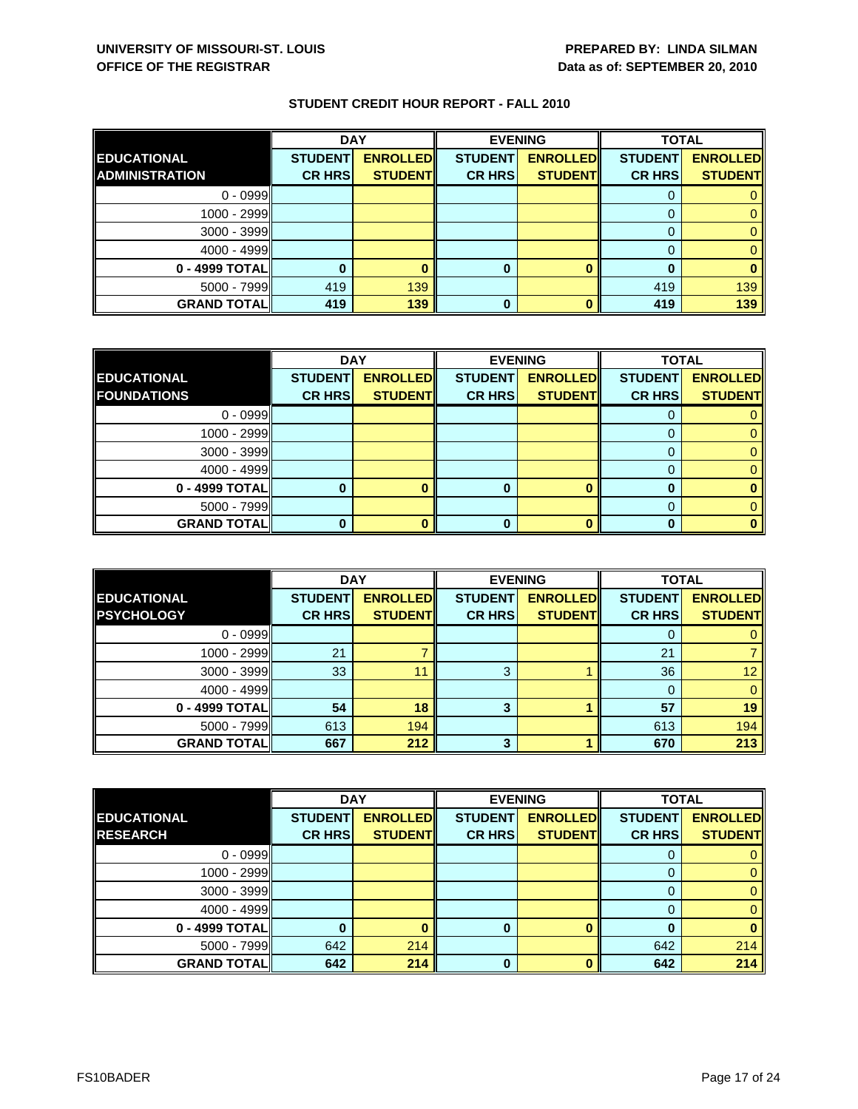|                       | <b>DAY</b>     |                 | <b>EVENING</b> |                 | <b>TOTAL</b>   |                 |
|-----------------------|----------------|-----------------|----------------|-----------------|----------------|-----------------|
| <b>EDUCATIONAL</b>    | <b>STUDENT</b> | <b>ENROLLED</b> | <b>STUDENT</b> | <b>ENROLLED</b> | <b>STUDENT</b> | <b>ENROLLED</b> |
| <b>ADMINISTRATION</b> | <b>CR HRS</b>  | <b>STUDENT</b>  | <b>CR HRS</b>  | <b>STUDENT</b>  | <b>CR HRS</b>  | <b>STUDENT</b>  |
| $0 - 0999$            |                |                 |                |                 |                |                 |
| 1000 - 2999           |                |                 |                |                 |                |                 |
| $3000 - 3999$         |                |                 |                |                 |                |                 |
| $4000 - 4999$         |                |                 |                |                 |                |                 |
| 0 - 4999 TOTAL        |                |                 | 0              |                 |                |                 |
| $5000 - 7999$         | 419            | 139             |                |                 | 419            | 139             |
| <b>GRAND TOTAL</b>    | 419            | 139             | 0              |                 | 419            | 139             |

|                    | <b>DAY</b><br><b>EVENING</b> |                 |                | <b>TOTAL</b>    |                |                 |
|--------------------|------------------------------|-----------------|----------------|-----------------|----------------|-----------------|
| <b>EDUCATIONAL</b> | <b>STUDENT</b>               | <b>ENROLLED</b> | <b>STUDENT</b> | <b>ENROLLED</b> | <b>STUDENT</b> | <b>ENROLLED</b> |
| <b>FOUNDATIONS</b> | <b>CR HRS</b>                | <b>STUDENT</b>  | <b>CR HRS</b>  | <b>STUDENT</b>  | <b>CR HRS</b>  | <b>STUDENT</b>  |
| $0 - 0999$         |                              |                 |                |                 |                |                 |
| $1000 - 2999$      |                              |                 |                |                 |                |                 |
| $3000 - 3999$      |                              |                 |                |                 |                |                 |
| $4000 - 4999$      |                              |                 |                |                 |                |                 |
| $0 - 4999$ TOTAL   |                              |                 | 0              |                 |                |                 |
| $5000 - 7999$      |                              |                 |                |                 |                |                 |
| <b>GRAND TOTAL</b> |                              |                 |                |                 |                |                 |

|                    | <b>DAY</b>     |                  | <b>EVENING</b> |                 | <b>TOTAL</b>   |                 |
|--------------------|----------------|------------------|----------------|-----------------|----------------|-----------------|
| <b>EDUCATIONAL</b> | <b>STUDENT</b> | <b>ENROLLEDI</b> | <b>STUDENT</b> | <b>ENROLLED</b> | <b>STUDENT</b> | <b>ENROLLED</b> |
| <b>PSYCHOLOGY</b>  | <b>CR HRS</b>  | <b>STUDENT</b>   | <b>CR HRS</b>  | <b>STUDENT</b>  | <b>CR HRS</b>  | <b>STUDENT</b>  |
| $0 - 0999$         |                |                  |                |                 |                |                 |
| $1000 - 2999$      | 21             |                  |                |                 | 21             |                 |
| $3000 - 3999$      | 33             | 11               | 3              |                 | 36             | 12 <sup>2</sup> |
| $4000 - 4999$      |                |                  |                |                 |                |                 |
| 0 - 4999 TOTAL     | 54             | 18               | 3              |                 | 57             | 19              |
| $5000 - 7999$      | 613            | 194              |                |                 | 613            | 194             |
| <b>GRAND TOTAL</b> | 667            | 212              | 3              |                 | 670            | 213             |

|                    | <b>DAY</b>     |                 |                | <b>EVENING</b>  | <b>TOTAL</b>   |                 |
|--------------------|----------------|-----------------|----------------|-----------------|----------------|-----------------|
| <b>EDUCATIONAL</b> | <b>STUDENT</b> | <b>ENROLLED</b> | <b>STUDENT</b> | <b>ENROLLED</b> | <b>STUDENT</b> | <b>ENROLLED</b> |
| <b>RESEARCH</b>    | <b>CR HRS</b>  | <b>STUDENT</b>  | <b>CR HRS</b>  | <b>STUDENT</b>  | <b>CR HRS</b>  | <b>STUDENT</b>  |
| $0 - 0999$         |                |                 |                |                 |                |                 |
| 1000 - 2999        |                |                 |                |                 |                |                 |
| $3000 - 3999$      |                |                 |                |                 | $\Omega$       |                 |
| $4000 - 4999$      |                |                 |                |                 |                |                 |
| 0 - 4999 TOTAL     |                |                 | 0              |                 |                |                 |
| 5000 - 7999        | 642            | 214             |                |                 | 642            | 214             |
| <b>GRAND TOTAL</b> | 642            | 214             | 0              |                 | 642            | 214             |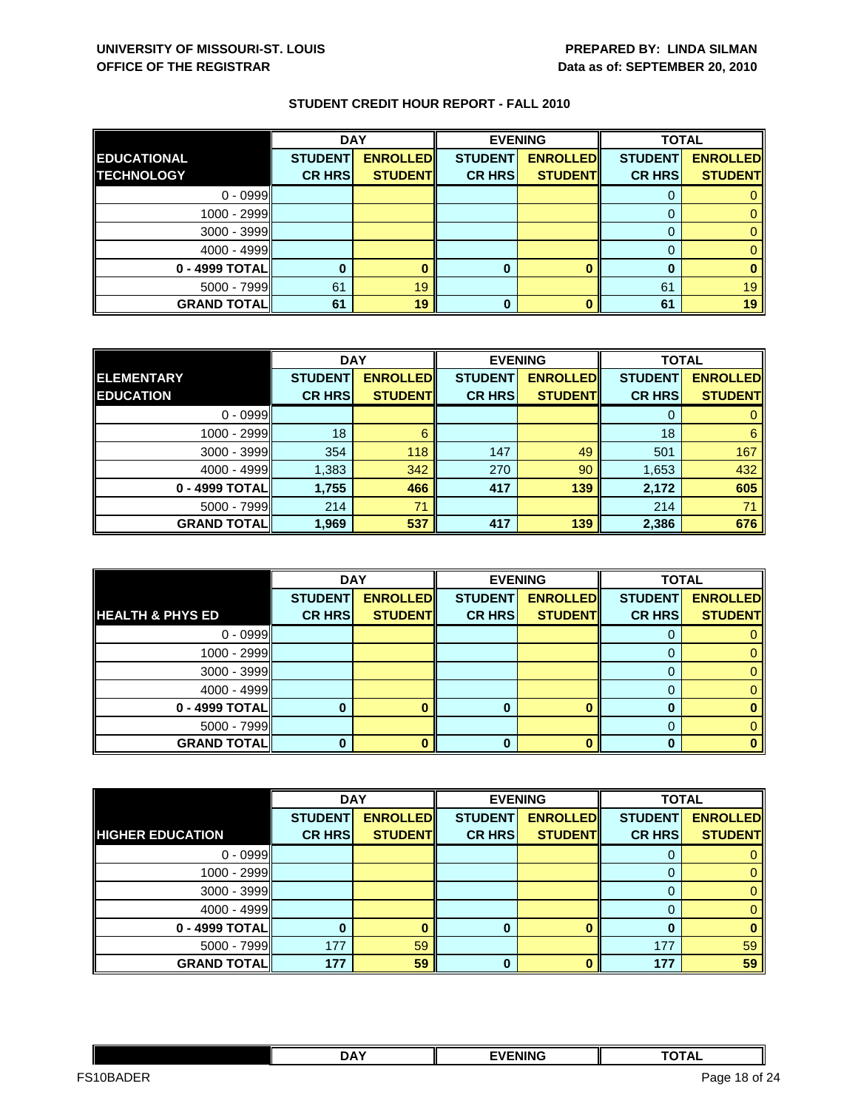|                    | <b>DAY</b>     |                 | <b>EVENING</b> |                 | <b>TOTAL</b>   |                 |
|--------------------|----------------|-----------------|----------------|-----------------|----------------|-----------------|
| <b>EDUCATIONAL</b> | <b>STUDENT</b> | <b>ENROLLED</b> | <b>STUDENT</b> | <b>ENROLLED</b> | <b>STUDENT</b> | <b>ENROLLED</b> |
| <b>TECHNOLOGY</b>  | <b>CR HRS</b>  | <b>STUDENT</b>  | <b>CR HRS</b>  | <b>STUDENT</b>  | <b>CR HRS</b>  | <b>STUDENT</b>  |
| $0 - 0999$         |                |                 |                |                 |                |                 |
| $1000 - 2999$      |                |                 |                |                 |                |                 |
| $3000 - 3999$      |                |                 |                |                 |                |                 |
| $4000 - 4999$      |                |                 |                |                 |                |                 |
| 0 - 4999 TOTAL     |                |                 | 0              |                 | 0              |                 |
| $5000 - 7999$      | 61             | 19              |                |                 | 61             | 19              |
| <b>GRAND TOTAL</b> | 61             | 19              | 0              |                 | 61             | 19              |

|                    | <b>DAY</b>     |                 | <b>EVENING</b> |                 | <b>TOTAL</b>   |                 |
|--------------------|----------------|-----------------|----------------|-----------------|----------------|-----------------|
| <b>ELEMENTARY</b>  | <b>STUDENT</b> | <b>ENROLLED</b> | <b>STUDENT</b> | <b>ENROLLED</b> | <b>STUDENT</b> | <b>ENROLLED</b> |
| <b>EDUCATION</b>   | <b>CR HRS</b>  | <b>STUDENT</b>  | <b>CR HRS</b>  | <b>STUDENT</b>  | <b>CR HRS</b>  | <b>STUDENT</b>  |
| $0 - 0999$         |                |                 |                |                 |                |                 |
| 1000 - 2999        | 18             |                 |                |                 | 18             | 6               |
| $3000 - 3999$      | 354            | 118             | 147            | 49              | 501            | 167             |
| $4000 - 4999$      | 1,383          | 342             | 270            | 90              | 1,653          | 432             |
| 0 - 4999 TOTAL     | 1,755          | 466             | 417            | 139             | 2,172          | 605             |
| $5000 - 7999$      | 214            | 71              |                |                 | 214            | 71              |
| <b>GRAND TOTAL</b> | 1,969          | 537             | 417            | 139             | 2,386          | 676             |

|                             | <b>DAY</b>     |                 | <b>EVENING</b> |                 | <b>TOTAL</b>   |                 |
|-----------------------------|----------------|-----------------|----------------|-----------------|----------------|-----------------|
|                             | <b>STUDENT</b> | <b>ENROLLED</b> | <b>STUDENT</b> | <b>ENROLLED</b> | <b>STUDENT</b> | <b>ENROLLED</b> |
| <b>HEALTH &amp; PHYS ED</b> | <b>CR HRS</b>  | <b>STUDENT</b>  | <b>CR HRS</b>  | <b>STUDENT</b>  | <b>CR HRS</b>  | <b>STUDENT</b>  |
| $0 - 0999$                  |                |                 |                |                 |                |                 |
| 1000 - 2999                 |                |                 |                |                 |                |                 |
| $3000 - 3999$               |                |                 |                |                 |                |                 |
| $4000 - 4999$               |                |                 |                |                 |                |                 |
| 0 - 4999 TOTAL              |                |                 |                |                 |                |                 |
| $5000 - 7999$               |                |                 |                |                 |                |                 |
| <b>GRAND TOTAL</b>          |                |                 |                |                 |                |                 |

|                         | <b>DAY</b>     |                 |                | <b>EVENING</b>  | <b>TOTAL</b>   |                 |
|-------------------------|----------------|-----------------|----------------|-----------------|----------------|-----------------|
|                         | <b>STUDENT</b> | <b>ENROLLED</b> | <b>STUDENT</b> | <b>ENROLLED</b> | <b>STUDENT</b> | <b>ENROLLED</b> |
| <b>HIGHER EDUCATION</b> | <b>CR HRS</b>  | <b>STUDENT</b>  | <b>CR HRS</b>  | <b>STUDENT</b>  | <b>CR HRS</b>  | <b>STUDENT</b>  |
| $0 - 0999$              |                |                 |                |                 |                |                 |
| 1000 - 2999             |                |                 |                |                 | 0              | 0               |
| $3000 - 3999$           |                |                 |                |                 | 0              | 0               |
| $4000 - 4999$           |                |                 |                |                 |                | 0               |
| 0 - 4999 TOTAL          |                |                 | 0              |                 |                | 0               |
| $5000 - 7999$           | 177            | 59              |                |                 | 177            | 59              |
| <b>GRAND TOTAL</b>      | 177            | 59              | $\bf{0}$       |                 | 177            | 59              |

|                                         | <b>DAY</b> | <b>FVENING</b> | $\sim$ $\sim$ $\sim$ $\sim$ $\sim$<br>$\mathbf{u}$<br>᠁ |              |
|-----------------------------------------|------------|----------------|---------------------------------------------------------|--------------|
| $- - -$<br>FS <sub>1</sub><br>⊩⊀∆<br>ъ⊢ |            |                | Page<br>-18                                             | of 24<br>. . |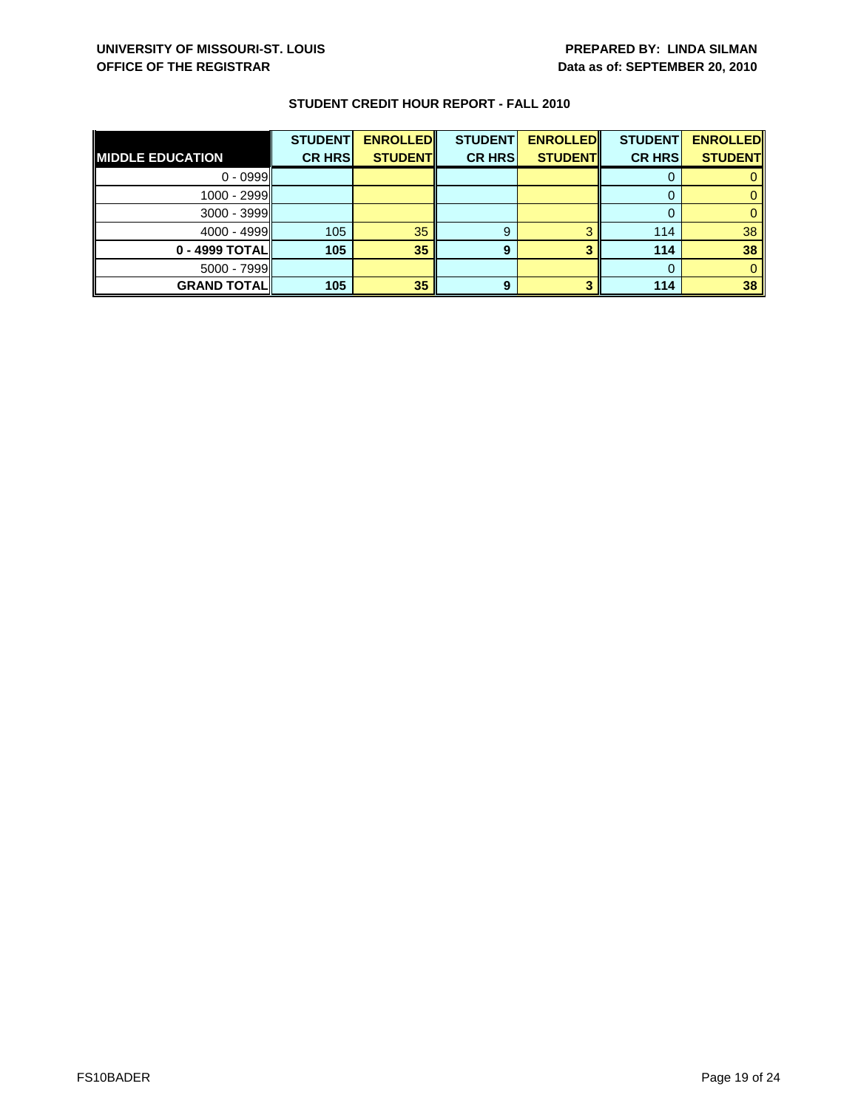| <b>MIDDLE EDUCATION</b> | <b>STUDENT</b><br><b>CR HRS</b> | <b>ENROLLED</b><br><b>STUDENT</b> | <b>STUDENT</b><br><b>CR HRS</b> | <b>ENROLLED</b><br><b>STUDENT</b> | <b>STUDENT</b><br><b>CR HRS</b> | <b>ENROLLED</b><br><b>STUDENT</b> |
|-------------------------|---------------------------------|-----------------------------------|---------------------------------|-----------------------------------|---------------------------------|-----------------------------------|
| $0 - 0999$              |                                 |                                   |                                 |                                   |                                 |                                   |
| $1000 - 2999$           |                                 |                                   |                                 |                                   |                                 |                                   |
| $3000 - 3999$           |                                 |                                   |                                 |                                   |                                 |                                   |
| $4000 - 4999$           | 105                             | 35                                | 9                               |                                   | 114                             | 38                                |
| 0 - 4999 TOTALI         | 105                             | 35                                | 9                               |                                   | 114                             | 38                                |
| $5000 - 7999$           |                                 |                                   |                                 |                                   |                                 |                                   |
| <b>GRAND TOTAL</b>      | 105                             | 35                                | 9                               |                                   | 114                             | 38                                |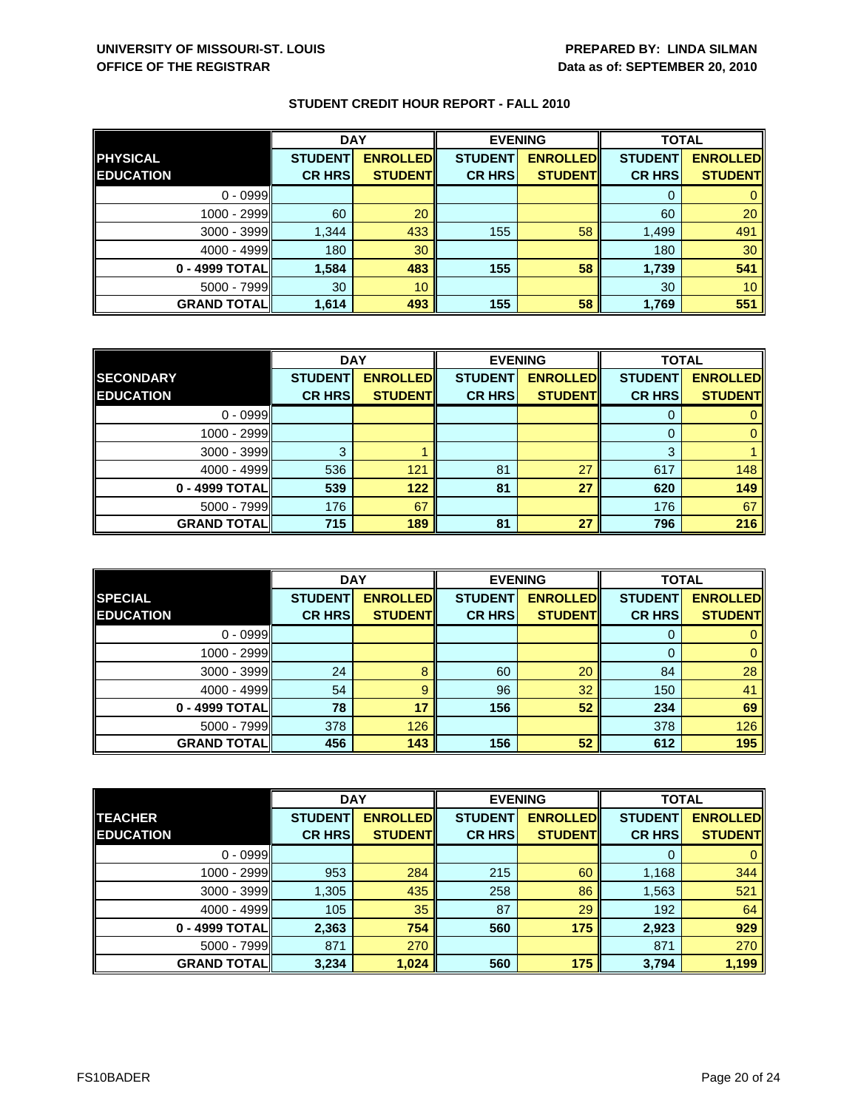|                    | <b>DAY</b>     |                 | <b>EVENING</b> |                 | <b>TOTAL</b>   |                 |
|--------------------|----------------|-----------------|----------------|-----------------|----------------|-----------------|
| <b>PHYSICAL</b>    | <b>STUDENT</b> | <b>ENROLLED</b> | <b>STUDENT</b> | <b>ENROLLED</b> | <b>STUDENT</b> | <b>ENROLLED</b> |
| <b>EDUCATION</b>   | <b>CR HRS</b>  | <b>STUDENT</b>  | <b>CR HRS</b>  | <b>STUDENT</b>  | <b>CR HRS</b>  | <b>STUDENT</b>  |
| $0 - 0999$         |                |                 |                |                 |                |                 |
| 1000 - 2999        | 60             | 20              |                |                 | 60             | 20              |
| $3000 - 3999$      | 1,344          | 433             | 155            | 58              | 1,499          | 491             |
| $4000 - 4999$      | 180            | 30              |                |                 | 180            | 30              |
| 0 - 4999 TOTAL     | 1,584          | 483             | 155            | 58              | 1,739          | 541             |
| $5000 - 7999$      | 30             | 10              |                |                 | 30             | 10 <sup>1</sup> |
| <b>GRAND TOTAL</b> | 1,614          | 493             | 155            | 58              | 1,769          | 551             |

|                    | <b>DAY</b>     |                 | <b>EVENING</b> |                 | <b>TOTAL</b>   |                 |
|--------------------|----------------|-----------------|----------------|-----------------|----------------|-----------------|
| <b>SECONDARY</b>   | <b>STUDENT</b> | <b>ENROLLED</b> | <b>STUDENT</b> | <b>ENROLLED</b> | <b>STUDENT</b> | <b>ENROLLED</b> |
| <b>EDUCATION</b>   | <b>CR HRS</b>  | <b>STUDENT</b>  | <b>CR HRS</b>  | <b>STUDENT</b>  | <b>CR HRS</b>  | <b>STUDENT</b>  |
| $0 - 0999$         |                |                 |                |                 |                |                 |
| 1000 - 2999        |                |                 |                |                 |                |                 |
| $3000 - 3999$      | ≏              |                 |                |                 | ົ              |                 |
| $4000 - 4999$      | 536            | 121             | 81             | 27              | 617            | 148             |
| 0 - 4999 TOTALI    | 539            | 122             | 81             | 27              | 620            | 149             |
| $5000 - 7999$      | 176            | 67              |                |                 | 176            | 67              |
| <b>GRAND TOTAL</b> | 715            | 189             | 81             | 27              | 796            | 216             |

|                                    | <b>DAY</b>                      |                                   | <b>EVENING</b>                  |                                   | <b>TOTAL</b>                    |                                   |
|------------------------------------|---------------------------------|-----------------------------------|---------------------------------|-----------------------------------|---------------------------------|-----------------------------------|
| <b>SPECIAL</b><br><b>EDUCATION</b> | <b>STUDENT</b><br><b>CR HRS</b> | <b>ENROLLED</b><br><b>STUDENT</b> | <b>STUDENT</b><br><b>CR HRS</b> | <b>ENROLLED</b><br><b>STUDENT</b> | <b>STUDENT</b><br><b>CR HRS</b> | <b>ENROLLED</b><br><b>STUDENT</b> |
|                                    |                                 |                                   |                                 |                                   |                                 |                                   |
| $0 - 0999$                         |                                 |                                   |                                 |                                   | O                               |                                   |
| $1000 - 2999$                      |                                 |                                   |                                 |                                   |                                 |                                   |
| $3000 - 3999$                      | 24                              |                                   | 60                              | 20                                | 84                              | 28                                |
| $4000 - 4999$                      | 54                              | 9                                 | 96                              | 32                                | 150                             | 41                                |
| 0 - 4999 TOTAL                     | 78                              | 17                                | 156                             | 52                                | 234                             | 69                                |
| $5000 - 7999$                      | 378                             | 126                               |                                 |                                   | 378                             | 126                               |
| <b>GRAND TOTALI</b>                | 456                             | 143                               | 156                             | 52                                | 612                             | 195                               |

|                    | <b>DAY</b>     |                 |                | <b>EVENING</b>  | <b>TOTAL</b>   |                 |
|--------------------|----------------|-----------------|----------------|-----------------|----------------|-----------------|
| <b>TEACHER</b>     | <b>STUDENT</b> | <b>ENROLLED</b> | <b>STUDENT</b> | <b>ENROLLED</b> | <b>STUDENT</b> | <b>ENROLLED</b> |
| <b>EDUCATION</b>   | <b>CR HRS</b>  | <b>STUDENT</b>  | <b>CR HRS</b>  | <b>STUDENT</b>  | <b>CR HRS</b>  | <b>STUDENT</b>  |
| $0 - 0999$         |                |                 |                |                 | 0              | $\mathbf{0}$    |
| 1000 - 2999        | 953            | 284             | 215            | 60              | 1,168          | 344             |
| $3000 - 3999$      | 1,305          | 435             | 258            | 86              | 1,563          | 521             |
| $4000 - 4999$      | 105            | 35              | 87             | 29              | 192            | 64              |
| 0 - 4999 TOTAL     | 2,363          | 754             | 560            | 175             | 2,923          | 929             |
| 5000 - 7999        | 871            | 270             |                |                 | 871            | 270             |
| <b>GRAND TOTAL</b> | 3,234          | 1,024           | 560            | 175             | 3,794          | 1,199           |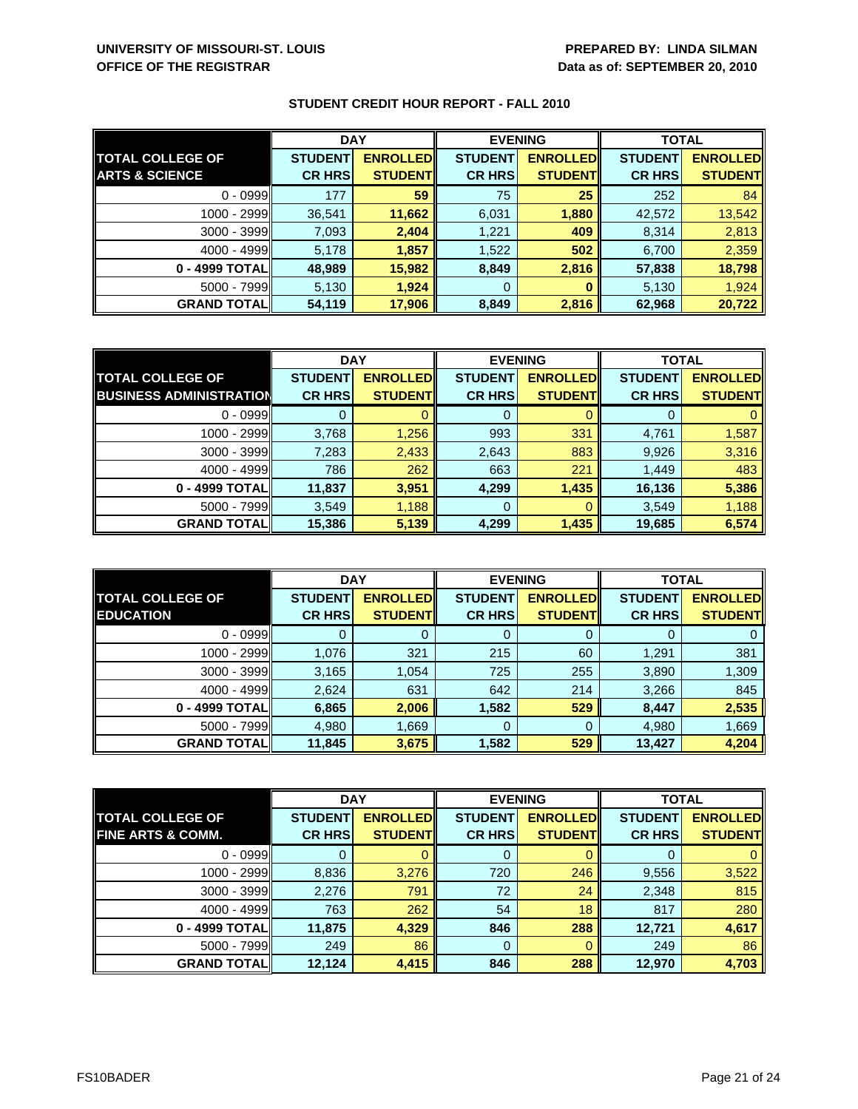|                           | <b>DAY</b>     |                 | <b>EVENING</b> |                 | <b>TOTAL</b>   |                 |
|---------------------------|----------------|-----------------|----------------|-----------------|----------------|-----------------|
| <b>TOTAL COLLEGE OF</b>   | <b>STUDENT</b> | <b>ENROLLED</b> | <b>STUDENT</b> | <b>ENROLLED</b> | <b>STUDENT</b> | <b>ENROLLED</b> |
| <b>ARTS &amp; SCIENCE</b> | <b>CR HRS</b>  | <b>STUDENT</b>  | <b>CR HRS</b>  | <b>STUDENT</b>  | <b>CR HRS</b>  | <b>STUDENT</b>  |
| $0 - 0999$                | 177            | 59              | 75             | 25              | 252            | 84              |
| 1000 - 2999               | 36,541         | 11,662          | 6,031          | 1,880           | 42,572         | 13,542          |
| $3000 - 3999$             | 7,093          | 2,404           | 1,221          | 409             | 8,314          | 2,813           |
| $4000 - 4999$             | 5,178          | 1,857           | 1,522          | 502             | 6,700          | 2,359           |
| 0 - 4999 TOTALI           | 48,989         | 15,982          | 8,849          | 2,816           | 57,838         | 18,798          |
| $5000 - 7999$             | 5,130          | 1,924           | 0              |                 | 5,130          | 1,924           |
| <b>GRAND TOTALI</b>       | 54,119         | 17,906          | 8,849          | 2,816           | 62,968         | 20,722          |

|                                | <b>DAY</b>     |                 | <b>EVENING</b> |                 | <b>TOTAL</b>   |                 |
|--------------------------------|----------------|-----------------|----------------|-----------------|----------------|-----------------|
| <b>TOTAL COLLEGE OF</b>        | <b>STUDENT</b> | <b>ENROLLED</b> | <b>STUDENT</b> | <b>ENROLLED</b> | <b>STUDENT</b> | <b>ENROLLED</b> |
| <b>BUSINESS ADMINISTRATION</b> | <b>CR HRS</b>  | <b>STUDENT</b>  | <b>CR HRS</b>  | <b>STUDENT</b>  | <b>CR HRS</b>  | <b>STUDENT</b>  |
| $0 - 0999$                     |                |                 |                |                 |                |                 |
| 1000 - 2999                    | 3,768          | 1,256           | 993            | 331             | 4,761          | 1,587           |
| $3000 - 3999$                  | 7,283          | 2,433           | 2,643          | 883             | 9,926          | 3,316           |
| $4000 - 4999$                  | 786            | 262             | 663            | 221             | 1,449          | 483             |
| 0 - 4999 TOTAL                 | 11,837         | 3,951           | 4,299          | 1,435           | 16,136         | 5,386           |
| $5000 - 7999$                  | 3,549          | 1,188           | 0              |                 | 3,549          | 1,188           |
| <b>GRAND TOTAL</b>             | 15,386         | 5,139           | 4,299          | 1,435           | 19,685         | 6,574           |

|                                             | <b>DAY</b>                      |                                   |                                 | <b>EVENING</b>                    | <b>TOTAL</b>                    |                                   |
|---------------------------------------------|---------------------------------|-----------------------------------|---------------------------------|-----------------------------------|---------------------------------|-----------------------------------|
| <b>TOTAL COLLEGE OF</b><br><b>EDUCATION</b> | <b>STUDENT</b><br><b>CR HRS</b> | <b>ENROLLED</b><br><b>STUDENT</b> | <b>STUDENT</b><br><b>CR HRS</b> | <b>ENROLLED</b><br><b>STUDENT</b> | <b>STUDENT</b><br><b>CR HRS</b> | <b>ENROLLED</b><br><b>STUDENT</b> |
| $0 - 0999$                                  |                                 |                                   | O                               |                                   |                                 |                                   |
| 1000 - 2999                                 | 1,076                           | 321                               | 215                             | 60                                | 1,291                           | 381                               |
| $3000 - 3999$                               | 3,165                           | 1,054                             | 725                             | 255                               | 3,890                           | 1,309                             |
| $4000 - 4999$                               | 2,624                           | 631                               | 642                             | 214                               | 3,266                           | 845                               |
| 0 - 4999 TOTALI                             | 6,865                           | 2,006                             | 1,582                           | 529                               | 8,447                           | 2,535                             |
| $5000 - 7999$                               | 4,980                           | 1,669                             | 0                               |                                   | 4,980                           | 1,669                             |
| <b>GRAND TOTALI</b>                         | 11,845                          | 3,675                             | 1,582                           | 529                               | 13,427                          | 4,204                             |

|                              | <b>DAY</b>     |                 | <b>EVENING</b> |                 | <b>TOTAL</b>   |                 |
|------------------------------|----------------|-----------------|----------------|-----------------|----------------|-----------------|
| <b>TOTAL COLLEGE OF</b>      | <b>STUDENT</b> | <b>ENROLLED</b> | <b>STUDENT</b> | <b>ENROLLED</b> | <b>STUDENT</b> | <b>ENROLLED</b> |
| <b>FINE ARTS &amp; COMM.</b> | <b>CR HRS</b>  | <b>STUDENT</b>  | <b>CR HRS</b>  | <b>STUDENT</b>  | <b>CR HRS</b>  | <b>STUDENT</b>  |
| $0 - 0999$                   |                |                 | 0              |                 |                | $\mathbf{0}$    |
| 1000 - 2999                  | 8,836          | 3,276           | 720            | 246             | 9,556          | 3,522           |
| 3000 - 3999                  | 2,276          | 791             | 72             | 24              | 2,348          | 815             |
| $4000 - 4999$                | 763            | 262             | 54             | 18              | 817            | 280             |
| 0 - 4999 TOTAL               | 11,875         | 4,329           | 846            | 288             | 12,721         | 4,617           |
| $5000 - 7999$                | 249            | 86              | $\Omega$       |                 | 249            | 86              |
| <b>GRAND TOTAL</b>           | 12,124         | 4,415           | 846            | 288             | 12,970         | 4,703           |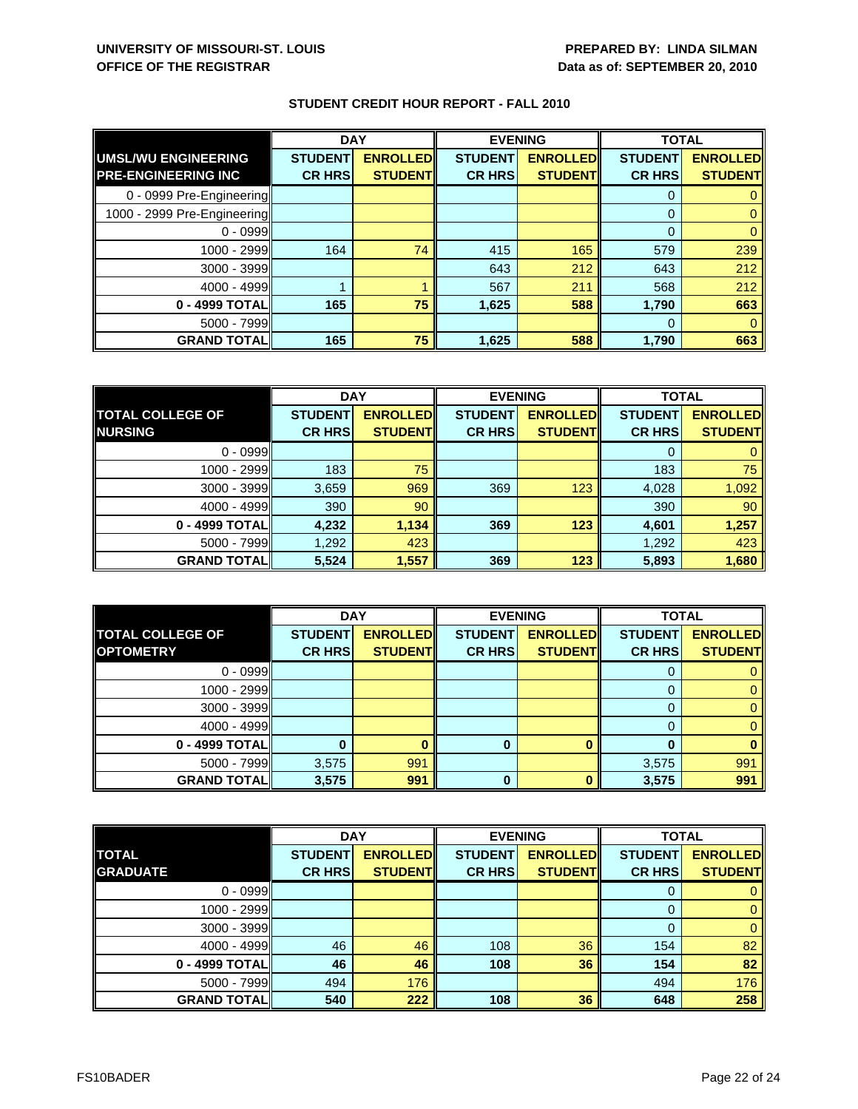|                             | <b>DAY</b>     |                 | <b>EVENING</b> |                 | <b>TOTAL</b>   |                 |
|-----------------------------|----------------|-----------------|----------------|-----------------|----------------|-----------------|
| UMSL/WU ENGINEERING         | <b>STUDENT</b> | <b>ENROLLED</b> | <b>STUDENT</b> | <b>ENROLLED</b> | <b>STUDENT</b> | <b>ENROLLED</b> |
| <b>PRE-ENGINEERING INC</b>  | <b>CR HRS</b>  | <b>STUDENT</b>  | <b>CR HRS</b>  | <b>STUDENT</b>  | <b>CR HRS</b>  | <b>STUDENT</b>  |
| 0 - 0999 Pre-Engineering    |                |                 |                |                 | 0              |                 |
| 1000 - 2999 Pre-Engineering |                |                 |                |                 | $\Omega$       |                 |
| $0 - 0999$                  |                |                 |                |                 | $\Omega$       |                 |
| 1000 - 2999                 | 164            | 74              | 415            | 165             | 579            | 239             |
| 3000 - 3999                 |                |                 | 643            | 212             | 643            | 212             |
| $4000 - 4999$               |                |                 | 567            | 211             | 568            | 212             |
| 0 - 4999 TOTAL              | 165            | 75              | 1,625          | 588             | 1,790          | 663             |
| $5000 - 7999$               |                |                 |                |                 | 0              |                 |
| <b>GRAND TOTAL</b>          | 165            | 75              | 1,625          | 588             | 1,790          | 663             |

|                         | <b>DAY</b>     |                 | <b>EVENING</b> |                 | <b>TOTAL</b>   |                 |
|-------------------------|----------------|-----------------|----------------|-----------------|----------------|-----------------|
| <b>TOTAL COLLEGE OF</b> | <b>STUDENT</b> | <b>ENROLLED</b> | <b>STUDENT</b> | <b>ENROLLED</b> | <b>STUDENT</b> | <b>ENROLLED</b> |
| <b>NURSING</b>          | <b>CR HRS</b>  | <b>STUDENT</b>  | <b>CR HRS</b>  | <b>STUDENT</b>  | <b>CR HRS</b>  | <b>STUDENT</b>  |
| $0 - 0999$              |                |                 |                |                 |                |                 |
| 1000 - 2999             | 183            | 75              |                |                 | 183            | 75              |
| $3000 - 3999$           | 3,659          | 969             | 369            | 123             | 4,028          | 1,092           |
| $4000 - 4999$           | 390            | 90              |                |                 | 390            | 90              |
| 0 - 4999 TOTAL          | 4,232          | 1,134           | 369            | 123             | 4,601          | 1,257           |
| $5000 - 7999$           | 1,292          | 423             |                |                 | 1,292          | 423             |
| <b>GRAND TOTALI</b>     | 5,524          | 1,557           | 369            | 123             | 5,893          | 1,680           |

|                         | <b>DAY</b>     |                 | <b>EVENING</b> |                 | <b>TOTAL</b>   |                 |
|-------------------------|----------------|-----------------|----------------|-----------------|----------------|-----------------|
| <b>TOTAL COLLEGE OF</b> | <b>STUDENT</b> | <b>ENROLLED</b> | <b>STUDENT</b> | <b>ENROLLED</b> | <b>STUDENT</b> | <b>ENROLLED</b> |
| <b>OPTOMETRY</b>        | <b>CR HRS</b>  | <b>STUDENT</b>  | <b>CR HRS</b>  | <b>STUDENT</b>  | <b>CR HRS</b>  | <b>STUDENT</b>  |
| $0 - 0999$              |                |                 |                |                 |                |                 |
| $1000 - 2999$           |                |                 |                |                 |                |                 |
| $3000 - 3999$           |                |                 |                |                 |                |                 |
| $4000 - 4999$           |                |                 |                |                 |                |                 |
| 0 - 4999 TOTAL          |                |                 | 0              |                 |                |                 |
| $5000 - 7999$           | 3,575          | 991             |                |                 | 3,575          | 991             |
| <b>GRAND TOTAL</b>      | 3,575          | 991             | 0              |                 | 3,575          | 991             |

|                    | <b>DAY</b>     |                 | <b>EVENING</b> |                 | <b>TOTAL</b>   |                 |
|--------------------|----------------|-----------------|----------------|-----------------|----------------|-----------------|
| <b>TOTAL</b>       | <b>STUDENT</b> | <b>ENROLLED</b> | <b>STUDENT</b> | <b>ENROLLED</b> | <b>STUDENT</b> | <b>ENROLLED</b> |
| <b>GRADUATE</b>    | <b>CR HRS</b>  | <b>STUDENTI</b> | <b>CR HRS</b>  | <b>STUDENT</b>  | <b>CR HRS</b>  | <b>STUDENT</b>  |
| $0 - 0999$         |                |                 |                |                 |                |                 |
| 1000 - 2999        |                |                 |                |                 |                | 0               |
| $3000 - 3999$      |                |                 |                |                 |                | 0               |
| $4000 - 4999$      | 46             | 46              | 108            | 36              | 154            | 82              |
| 0 - 4999 TOTAL     | 46             | 46              | 108            | 36              | 154            | 82              |
| $5000 - 7999$      | 494            | 176             |                |                 | 494            | 176             |
| <b>GRAND TOTAL</b> | 540            | 222             | 108            | 36              | 648            | 258             |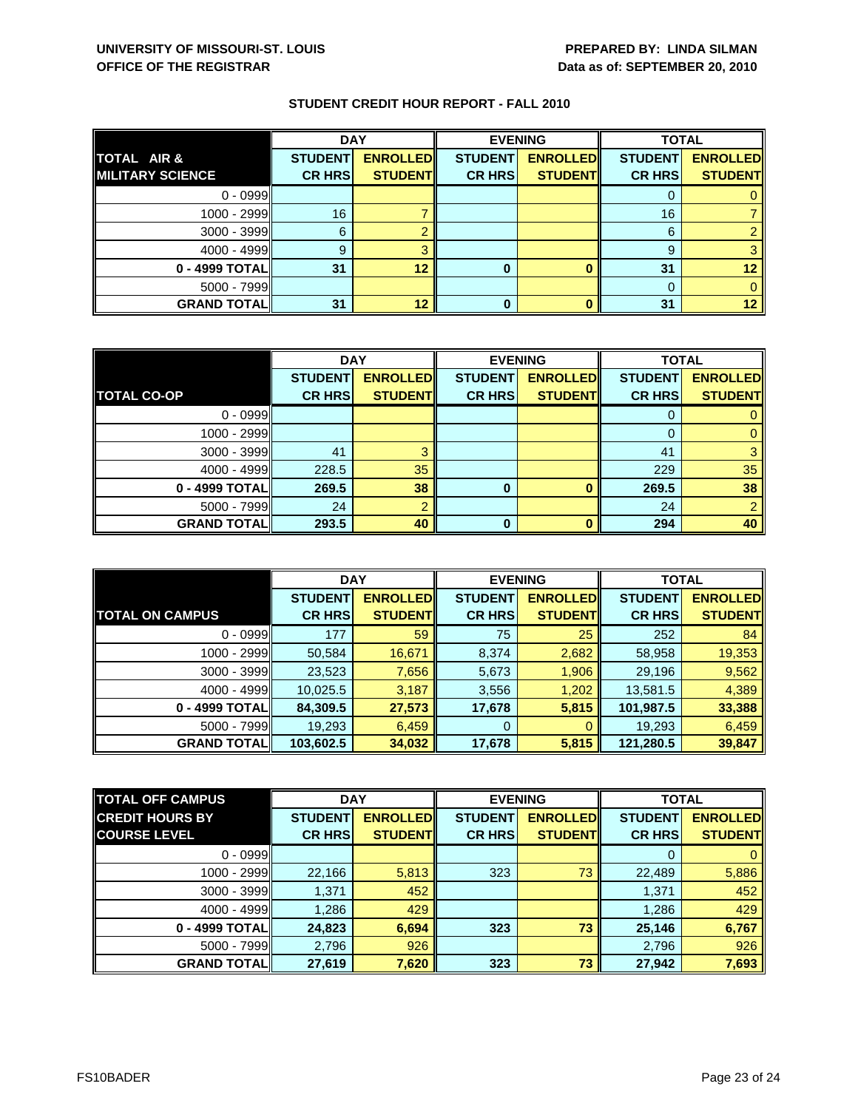|                    | <b>DAY</b>     |                 |                | <b>EVENING</b>  | <b>TOTAL</b>   |                 |
|--------------------|----------------|-----------------|----------------|-----------------|----------------|-----------------|
| TOTAL AIR &        | <b>STUDENT</b> | <b>ENROLLED</b> | <b>STUDENT</b> | <b>ENROLLED</b> | <b>STUDENT</b> | <b>ENROLLED</b> |
| IMILITARY SCIENCE  | <b>CR HRS</b>  | <b>STUDENT</b>  | <b>CR HRS</b>  | <b>STUDENT</b>  | <b>CR HRS</b>  | <b>STUDENT</b>  |
| $0 - 0999$         |                |                 |                |                 |                |                 |
| 1000 - 2999        | 16             |                 |                |                 | 16             |                 |
| $3000 - 3999$      | 6              |                 |                |                 | 6              |                 |
| $4000 - 4999$      | 9              |                 |                |                 | 9              |                 |
| 0 - 4999 TOTAL     | 31             | 12              | 0              |                 | 31             | 12              |
| $5000 - 7999$      |                |                 |                |                 |                |                 |
| <b>GRAND TOTAL</b> | 31             | 12              | 0              |                 | 31             | 12 <sup>°</sup> |

|                    | <b>DAY</b>     |                 |                | <b>EVENING</b>  | <b>TOTAL</b>   |                 |
|--------------------|----------------|-----------------|----------------|-----------------|----------------|-----------------|
|                    | <b>STUDENT</b> | <b>ENROLLED</b> | <b>STUDENT</b> | <b>ENROLLED</b> | <b>STUDENT</b> | <b>ENROLLED</b> |
| <b>TOTAL CO-OP</b> | <b>CR HRS</b>  | <b>STUDENT</b>  | <b>CR HRS</b>  | <b>STUDENT</b>  | <b>CR HRS</b>  | <b>STUDENT</b>  |
| $0 - 0999$         |                |                 |                |                 |                |                 |
| 1000 - 2999        |                |                 |                |                 | $\Omega$       |                 |
| $3000 - 3999$      | 41             | ◠               |                |                 | 41             |                 |
| $4000 - 4999$      | 228.5          | 35              |                |                 | 229            | 35              |
| 0 - 4999 TOTAL     | 269.5          | 38              | 0              | $\Omega$        | 269.5          | 38              |
| $5000 - 7999$      | 24             | $\Omega$        |                |                 | 24             |                 |
| <b>GRAND TOTAL</b> | 293.5          | 40              | O              | n               | 294            | 40              |

|                        | <b>DAY</b>     |                 | <b>EVENING</b> |                 | <b>TOTAL</b>   |                 |
|------------------------|----------------|-----------------|----------------|-----------------|----------------|-----------------|
|                        | <b>STUDENT</b> | <b>ENROLLED</b> | <b>STUDENT</b> | <b>ENROLLED</b> | <b>STUDENT</b> | <b>ENROLLED</b> |
| <b>TOTAL ON CAMPUS</b> | <b>CR HRS</b>  | <b>STUDENT</b>  | <b>CR HRS</b>  | <b>STUDENTI</b> | <b>CR HRS</b>  | <b>STUDENT</b>  |
| $0 - 0999$             | 177            | 59              | 75             | 25              | 252            | 84              |
| 1000 - 2999            | 50,584         | 16,671          | 8,374          | 2,682           | 58,958         | 19,353          |
| $3000 - 3999$          | 23,523         | 7,656           | 5,673          | 1,906           | 29,196         | 9,562           |
| $4000 - 4999$          | 10,025.5       | 3,187           | 3,556          | 1,202           | 13,581.5       | 4,389           |
| 0 - 4999 TOTAL         | 84,309.5       | 27,573          | 17,678         | 5,815           | 101,987.5      | 33,388          |
| $5000 - 7999$          | 19,293         | 6,459           | 0              | 0               | 19,293         | 6,459           |
| <b>GRAND TOTAL</b>     | 103,602.5      | 34,032          | 17,678         | 5,815           | 121,280.5      | 39,847          |

| <b>TOTAL OFF CAMPUS</b> | <b>DAY</b>     |                 | <b>EVENING</b> |                 | <b>TOTAL</b>   |                 |
|-------------------------|----------------|-----------------|----------------|-----------------|----------------|-----------------|
| <b>CREDIT HOURS BY</b>  | <b>STUDENT</b> | <b>ENROLLED</b> | <b>STUDENT</b> | <b>ENROLLED</b> | <b>STUDENT</b> | <b>ENROLLED</b> |
| <b>COURSE LEVEL</b>     | <b>CR HRS</b>  | <b>STUDENT</b>  | <b>CR HRS</b>  | <b>STUDENT</b>  | <b>CR HRS</b>  | <b>STUDENT</b>  |
| $0 - 0999$              |                |                 |                |                 | 0              | $\mathbf{0}$    |
| 1000 - 2999             | 22,166         | 5,813           | 323            | 73              | 22,489         | 5,886           |
| 3000 - 3999             | 1,371          | 452             |                |                 | 1,371          | 452             |
| $4000 - 4999$           | 1,286          | 429             |                |                 | 1,286          | 429             |
| 0 - 4999 TOTAL          | 24,823         | 6,694           | 323            | 73              | 25,146         | 6,767           |
| $5000 - 7999$           | 2,796          | 926             |                |                 | 2,796          | 926             |
| <b>GRAND TOTAL</b>      | 27,619         | 7,620           | 323            | 73              | 27,942         | 7,693           |